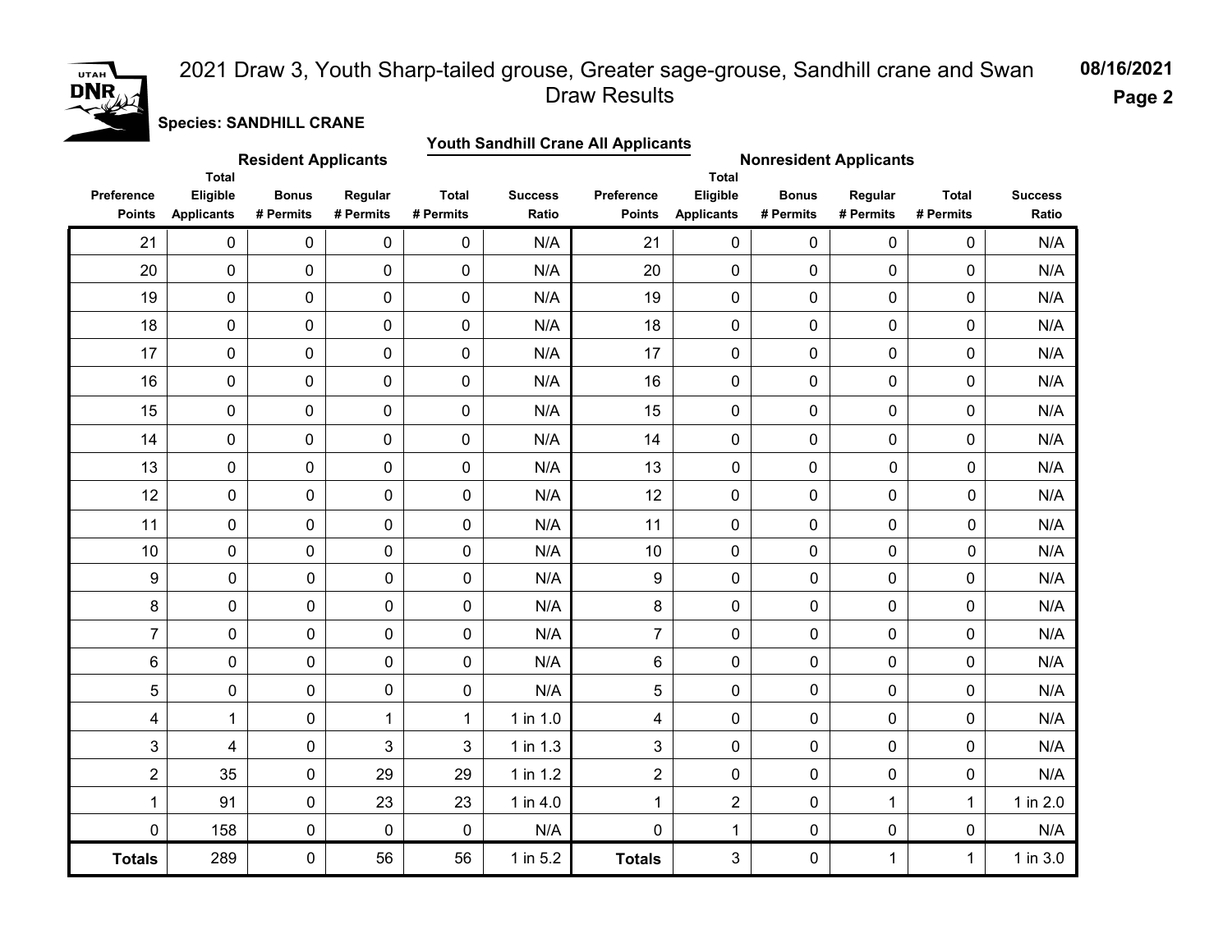# UTAH<sup></sup> **DNR**

### **08/16/2021** 2021 Draw 3, Youth Sharp-tailed grouse, Greater sage-grouse, Sandhill crane and Swan Draw Results

**Page 2**

**Species: SANDHILL CRANE**

|                             | <b>Youth Sandhill Crane All Applicants</b><br><b>Resident Applicants</b><br><b>Nonresident Applicants</b> |                           |                      |                           |                         |                             |                               |                           |                      |                           |                         |  |
|-----------------------------|-----------------------------------------------------------------------------------------------------------|---------------------------|----------------------|---------------------------|-------------------------|-----------------------------|-------------------------------|---------------------------|----------------------|---------------------------|-------------------------|--|
|                             | <b>Total</b>                                                                                              |                           |                      |                           |                         |                             | <b>Total</b>                  |                           |                      |                           |                         |  |
| Preference<br><b>Points</b> | Eligible<br><b>Applicants</b>                                                                             | <b>Bonus</b><br># Permits | Regular<br># Permits | <b>Total</b><br># Permits | <b>Success</b><br>Ratio | Preference<br><b>Points</b> | Eligible<br><b>Applicants</b> | <b>Bonus</b><br># Permits | Regular<br># Permits | <b>Total</b><br># Permits | <b>Success</b><br>Ratio |  |
| 21                          | 0                                                                                                         | 0                         | $\mathbf 0$          | $\mathbf 0$               | N/A                     | 21                          | $\mathbf 0$                   | 0                         | $\mathbf 0$          | 0                         | N/A                     |  |
| 20                          | 0                                                                                                         | 0                         | $\pmb{0}$            | $\pmb{0}$                 | N/A                     | 20                          | $\pmb{0}$                     | 0                         | $\pmb{0}$            | 0                         | N/A                     |  |
| 19                          | 0                                                                                                         | 0                         | $\pmb{0}$            | $\mathbf 0$               | N/A                     | 19                          | $\mathbf 0$                   | 0                         | $\mathbf 0$          | 0                         | N/A                     |  |
| 18                          | 0                                                                                                         | 0                         | $\pmb{0}$            | $\mathbf 0$               | N/A                     | 18                          | $\mathbf 0$                   | 0                         | $\mathbf 0$          | 0                         | N/A                     |  |
| 17                          | 0                                                                                                         | 0                         | $\pmb{0}$            | $\pmb{0}$                 | N/A                     | 17                          | $\pmb{0}$                     | 0                         | $\pmb{0}$            | 0                         | N/A                     |  |
| 16                          | 0                                                                                                         | 0                         | $\mathbf 0$          | $\mathbf 0$               | N/A                     | 16                          | $\mathbf 0$                   | 0                         | $\mathbf 0$          | 0                         | N/A                     |  |
| 15                          | 0                                                                                                         | 0                         | $\mathbf 0$          | $\mathbf 0$               | N/A                     | 15                          | $\mathbf 0$                   | 0                         | $\mathbf 0$          | 0                         | N/A                     |  |
| 14                          | 0                                                                                                         | 0                         | $\pmb{0}$            | $\pmb{0}$                 | N/A                     | 14                          | $\pmb{0}$                     | 0                         | $\mathbf 0$          | 0                         | N/A                     |  |
| 13                          | 0                                                                                                         | $\pmb{0}$                 | $\mathbf 0$          | $\mathbf 0$               | N/A                     | 13                          | 0                             | 0                         | $\mathbf 0$          | 0                         | N/A                     |  |
| 12                          | 0                                                                                                         | 0                         | $\mathbf 0$          | $\pmb{0}$                 | N/A                     | 12                          | 0                             | 0                         | $\pmb{0}$            | 0                         | N/A                     |  |
| 11                          | 0                                                                                                         | 0                         | $\mathbf 0$          | $\mathbf 0$               | N/A                     | 11                          | 0                             | 0                         | $\mathbf 0$          | $\pmb{0}$                 | N/A                     |  |
| 10                          | 0                                                                                                         | 0                         | $\mathbf 0$          | $\mathbf 0$               | N/A                     | 10                          | $\mathbf 0$                   | 0                         | $\mathbf 0$          | $\pmb{0}$                 | N/A                     |  |
| $\boldsymbol{9}$            | $\pmb{0}$                                                                                                 | 0                         | $\pmb{0}$            | 0                         | N/A                     | 9                           | 0                             | 0                         | $\pmb{0}$            | 0                         | N/A                     |  |
| $\bf 8$                     | $\pmb{0}$                                                                                                 | $\mathbf 0$               | $\mathbf 0$          | 0                         | N/A                     | 8                           | $\mathbf 0$                   | $\mathbf 0$               | $\mathbf 0$          | 0                         | N/A                     |  |
| $\overline{7}$              | $\pmb{0}$                                                                                                 | 0                         | $\mathbf 0$          | 0                         | N/A                     | $\overline{7}$              | 0                             | 0                         | $\mathbf 0$          | 0                         | N/A                     |  |
| 6                           | $\pmb{0}$                                                                                                 | 0                         | $\pmb{0}$            | 0                         | N/A                     | 6                           | 0                             | $\pmb{0}$                 | $\mathbf 0$          | 0                         | N/A                     |  |
| 5                           | $\pmb{0}$                                                                                                 | $\mathbf 0$               | $\mathbf 0$          | 0                         | N/A                     | $\overline{5}$              | $\pmb{0}$                     | $\pmb{0}$                 | 0                    | 0                         | N/A                     |  |
| 4                           | 1                                                                                                         | $\pmb{0}$                 | 1                    | 1                         | 1 in 1.0                | 4                           | 0                             | 0                         | $\pmb{0}$            | 0                         | N/A                     |  |
| 3                           | 4                                                                                                         | 0                         | 3                    | 3                         | 1 in 1.3                | 3                           | $\mathbf 0$                   | $\mathbf 0$               | $\mathbf 0$          | 0                         | N/A                     |  |
| $\overline{2}$              | 35                                                                                                        | 0                         | 29                   | 29                        | 1 in 1.2                | $\overline{c}$              | 0                             | 0                         | $\pmb{0}$            | 0                         | N/A                     |  |
| $\mathbf 1$                 | 91                                                                                                        | 0                         | 23                   | 23                        | 1 in 4.0                | 1                           | $\overline{2}$                | $\pmb{0}$                 | $\mathbf{1}$         | $\mathbf{1}$              | 1 in $2.0$              |  |
| $\pmb{0}$                   | 158                                                                                                       | 0                         | $\mathbf 0$          | $\mathbf 0$               | N/A                     | $\overline{0}$              | 1                             | 0                         | $\mathbf 0$          | 0                         | N/A                     |  |
| <b>Totals</b>               | 289                                                                                                       | 0                         | 56                   | 56                        | 1 in 5.2                | <b>Totals</b>               | 3                             | 0                         | 1                    | $\mathbf 1$               | 1 in 3.0                |  |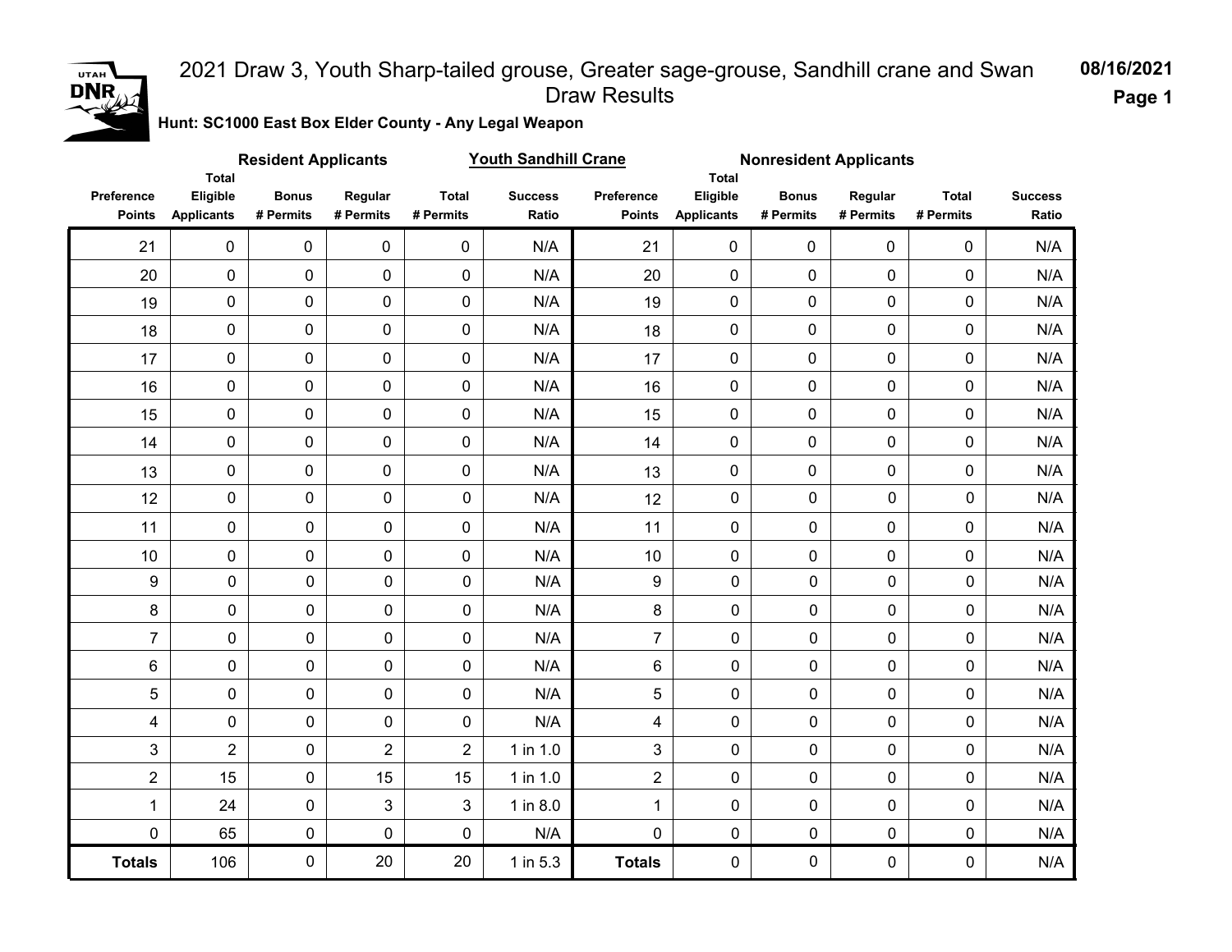

**Hunt: SC1000 East Box Elder County - Any Legal Weapon** 

|                             | <b>Total</b>                  | <b>Resident Applicants</b> |                      |                           | <b>Youth Sandhill Crane</b> |                             | Total                         | <b>Nonresident Applicants</b> |                      |                           |                         |
|-----------------------------|-------------------------------|----------------------------|----------------------|---------------------------|-----------------------------|-----------------------------|-------------------------------|-------------------------------|----------------------|---------------------------|-------------------------|
| Preference<br><b>Points</b> | Eligible<br><b>Applicants</b> | <b>Bonus</b><br># Permits  | Regular<br># Permits | <b>Total</b><br># Permits | <b>Success</b><br>Ratio     | Preference<br><b>Points</b> | Eligible<br><b>Applicants</b> | <b>Bonus</b><br># Permits     | Regular<br># Permits | <b>Total</b><br># Permits | <b>Success</b><br>Ratio |
| 21                          | $\pmb{0}$                     | 0                          | $\mathbf 0$          | 0                         | N/A                         | 21                          | $\mathbf 0$                   | $\mathbf 0$                   | $\mathbf 0$          | 0                         | N/A                     |
| 20                          | $\mathsf{O}\xspace$           | 0                          | $\pmb{0}$            | $\mathbf 0$               | N/A                         | 20                          | 0                             | 0                             | $\mathbf 0$          | 0                         | N/A                     |
| 19                          | $\mathsf{O}\xspace$           | 0                          | 0                    | 0                         | N/A                         | 19                          | 0                             | 0                             | $\mathbf 0$          | 0                         | N/A                     |
| 18                          | $\mathsf{O}\xspace$           | 0                          | $\mathbf 0$          | $\mathbf 0$               | N/A                         | 18                          | 0                             | 0                             | $\mathbf 0$          | 0                         | N/A                     |
| 17                          | $\mathsf{O}\xspace$           | $\pmb{0}$                  | $\mathbf 0$          | $\mathbf 0$               | N/A                         | 17                          | 0                             | 0                             | $\mathsf{O}\xspace$  | 0                         | N/A                     |
| 16                          | $\mathbf 0$                   | $\pmb{0}$                  | $\mathbf 0$          | $\mathbf 0$               | N/A                         | 16                          | 0                             | $\mathbf 0$                   | $\mathbf 0$          | 0                         | N/A                     |
| 15                          | $\mathbf 0$                   | 0                          | $\mathbf 0$          | $\mathbf 0$               | N/A                         | 15                          | 0                             | 0                             | $\mathbf 0$          | $\pmb{0}$                 | N/A                     |
| 14                          | $\mathbf 0$                   | $\mathbf 0$                | $\mathbf 0$          | 0                         | N/A                         | 14                          | 0                             | 0                             | $\mathbf 0$          | 0                         | N/A                     |
| 13                          | $\mathsf{O}\xspace$           | 0                          | 0                    | $\pmb{0}$                 | N/A                         | 13                          | 0                             | 0                             | $\mathbf 0$          | 0                         | N/A                     |
| 12                          | $\pmb{0}$                     | 0                          | 0                    | 0                         | N/A                         | 12                          | $\pmb{0}$                     | $\mathbf 0$                   | 0                    | 0                         | N/A                     |
| 11                          | $\mathbf 0$                   | 0                          | 0                    | 0                         | N/A                         | 11                          | $\pmb{0}$                     | $\pmb{0}$                     | $\mathbf 0$          | 0                         | N/A                     |
| 10                          | $\pmb{0}$                     | 0                          | 0                    | 0                         | N/A                         | 10                          | 0                             | $\pmb{0}$                     | $\mathbf 0$          | 0                         | N/A                     |
| $\boldsymbol{9}$            | $\pmb{0}$                     | 0                          | $\pmb{0}$            | 0                         | N/A                         | 9                           | $\pmb{0}$                     | $\pmb{0}$                     | $\mathbf 0$          | 0                         | N/A                     |
| 8                           | $\mathbf 0$                   | 0                          | $\mathsf{O}\xspace$  | $\mathbf 0$               | N/A                         | 8                           | 0                             | 0                             | 0                    | 0                         | N/A                     |
| $\overline{7}$              | 0                             | 0                          | $\pmb{0}$            | $\pmb{0}$                 | N/A                         | $\overline{7}$              | $\pmb{0}$                     | $\mathbf 0$                   | 0                    | 0                         | N/A                     |
| $\,6$                       | $\pmb{0}$                     | 0                          | 0                    | 0                         | N/A                         | 6                           | 0                             | 0                             | 0                    | 0                         | N/A                     |
| 5                           | $\mathbf 0$                   | 0                          | $\pmb{0}$            | 0                         | N/A                         | 5                           | $\pmb{0}$                     | 0                             | 0                    | 0                         | N/A                     |
| $\overline{\mathbf{4}}$     | $\mathbf 0$                   | 0                          | $\mathbf 0$          | 0                         | N/A                         | 4                           | $\mathbf 0$                   | 0                             | $\mathbf 0$          | 0                         | N/A                     |
| 3                           | $\overline{2}$                | 0                          | $\overline{2}$       | $\overline{2}$            | 1 in 1.0                    | 3                           | $\pmb{0}$                     | 0                             | $\mathbf 0$          | 0                         | N/A                     |
| $\overline{2}$              | 15                            | 0                          | 15                   | 15                        | 1 in 1.0                    | $\overline{2}$              | $\mathbf 0$                   | $\pmb{0}$                     | $\mathbf 0$          | 0                         | N/A                     |
| $\mathbf{1}$                | 24                            | 0                          | 3                    | 3                         | 1 in 8.0                    | $\mathbf{1}$                | $\mathbf 0$                   | $\mathbf 0$                   | $\mathbf 0$          | 0                         | N/A                     |
| $\mathbf 0$                 | 65                            | 0                          | $\mathbf 0$          | 0                         | N/A                         | 0                           | $\mathbf 0$                   | $\mathbf 0$                   | 0                    | 0                         | N/A                     |
| <b>Totals</b>               | 106                           | 0                          | 20                   | 20                        | 1 in 5.3                    | <b>Totals</b>               | 0                             | 0                             | $\mathbf 0$          | 0                         | N/A                     |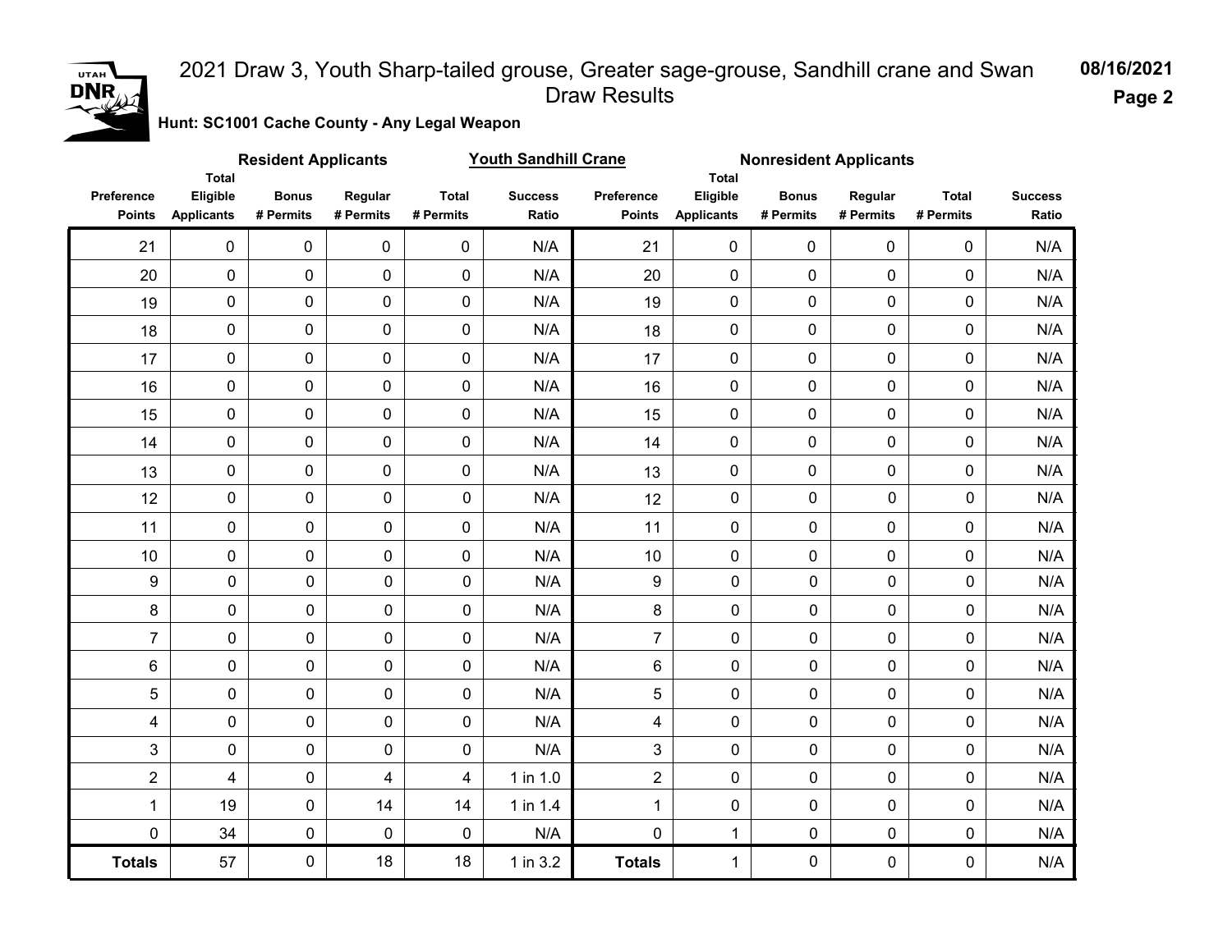

**Page 2**

**Hunt: SC1001 Cache County - Any Legal Weapon** 

| <b>Resident Applicants</b><br><b>Total</b> |                               |                           |                         |                           | <b>Youth Sandhill Crane</b> | <b>Nonresident Applicants</b> |                                        |                           |                      |                           |                         |
|--------------------------------------------|-------------------------------|---------------------------|-------------------------|---------------------------|-----------------------------|-------------------------------|----------------------------------------|---------------------------|----------------------|---------------------------|-------------------------|
| Preference<br><b>Points</b>                | Eligible<br><b>Applicants</b> | <b>Bonus</b><br># Permits | Regular<br># Permits    | <b>Total</b><br># Permits | <b>Success</b><br>Ratio     | Preference<br><b>Points</b>   | Total<br>Eligible<br><b>Applicants</b> | <b>Bonus</b><br># Permits | Regular<br># Permits | <b>Total</b><br># Permits | <b>Success</b><br>Ratio |
| 21                                         | $\mathbf 0$                   | $\pmb{0}$                 | $\pmb{0}$               | $\mathbf 0$               | N/A                         | 21                            | $\mathbf 0$                            | $\mathbf 0$               | $\mathbf 0$          | 0                         | N/A                     |
| 20                                         | $\pmb{0}$                     | 0                         | $\mathbf 0$             | $\mathbf 0$               | N/A                         | 20                            | 0                                      | $\mathbf 0$               | 0                    | $\mathbf 0$               | N/A                     |
| 19                                         | 0                             | $\mathbf 0$               | 0                       | $\mathbf 0$               | N/A                         | 19                            | 0                                      | 0                         | $\mathbf 0$          | 0                         | N/A                     |
| 18                                         | 0                             | 0                         | 0                       | 0                         | N/A                         | 18                            | 0                                      | $\pmb{0}$                 | 0                    | 0                         | N/A                     |
| 17                                         | 0                             | 0                         | $\mathbf 0$             | 0                         | N/A                         | 17                            | 0                                      | $\pmb{0}$                 | 0                    | 0                         | N/A                     |
| 16                                         | 0                             | $\pmb{0}$                 | $\mathbf 0$             | $\pmb{0}$                 | N/A                         | 16                            | 0                                      | $\pmb{0}$                 | $\mathbf 0$          | $\pmb{0}$                 | N/A                     |
| 15                                         | 0                             | 0                         | $\mathbf 0$             | $\pmb{0}$                 | N/A                         | 15                            | 0                                      | $\mathbf 0$               | $\mathbf 0$          | $\pmb{0}$                 | N/A                     |
| 14                                         | 0                             | 0                         | $\pmb{0}$               | $\mathbf 0$               | N/A                         | 14                            | 0                                      | $\mathbf 0$               | $\mathbf 0$          | $\mathbf 0$               | N/A                     |
| 13                                         | 0                             | 0                         | $\pmb{0}$               | $\mathbf 0$               | N/A                         | 13                            | 0                                      | $\mathbf 0$               | 0                    | $\mathbf 0$               | N/A                     |
| 12                                         | 0                             | $\pmb{0}$                 | $\mathbf 0$             | $\mathbf 0$               | N/A                         | 12                            | $\mathbf 0$                            | $\mathbf 0$               | 0                    | $\mathbf 0$               | N/A                     |
| 11                                         | 0                             | $\mathbf 0$               | $\mathbf 0$             | 0                         | N/A                         | 11                            | $\mathbf 0$                            | 0                         | 0                    | $\mathbf 0$               | N/A                     |
| 10                                         | 0                             | 0                         | $\mathbf 0$             | 0                         | N/A                         | 10                            | $\mathbf 0$                            | 0                         | 0                    | 0                         | N/A                     |
| $\boldsymbol{9}$                           | $\pmb{0}$                     | $\pmb{0}$                 | $\pmb{0}$               | 0                         | N/A                         | $\boldsymbol{9}$              | $\mathbf 0$                            | 0                         | $\mathbf 0$          | $\mathbf 0$               | N/A                     |
| 8                                          | $\pmb{0}$                     | $\pmb{0}$                 | 0                       | 0                         | N/A                         | 8                             | 0                                      | 0                         | $\mathbf 0$          | $\pmb{0}$                 | N/A                     |
| $\overline{7}$                             | $\pmb{0}$                     | $\pmb{0}$                 | 0                       | 0                         | N/A                         | $\overline{7}$                | 0                                      | 0                         | $\mathbf 0$          | $\pmb{0}$                 | N/A                     |
| $\,6\,$                                    | $\pmb{0}$                     | $\pmb{0}$                 | 0                       | 0                         | N/A                         | 6                             | 0                                      | 0                         | $\mathbf 0$          | $\pmb{0}$                 | N/A                     |
| 5                                          | $\pmb{0}$                     | $\pmb{0}$                 | 0                       | 0                         | N/A                         | 5                             | $\pmb{0}$                              | 0                         | $\mathbf 0$          | $\mathbf 0$               | N/A                     |
| 4                                          | $\pmb{0}$                     | $\pmb{0}$                 | 0                       | 0                         | N/A                         | 4                             | 0                                      | $\mathbf 0$               | $\mathbf 0$          | $\mathbf 0$               | N/A                     |
| 3                                          | $\pmb{0}$                     | $\mathsf{O}\xspace$       | 0                       | 0                         | N/A                         | 3                             | 0                                      | 0                         | $\mathbf 0$          | $\mathbf 0$               | N/A                     |
| $\overline{2}$                             | $\overline{\mathbf{4}}$       | $\pmb{0}$                 | $\overline{\mathbf{4}}$ | 4                         | 1 in 1.0                    | $\overline{2}$                | 0                                      | $\mathbf 0$               | $\mathbf 0$          | $\mathbf 0$               | N/A                     |
| $\mathbf{1}$                               | 19                            | $\pmb{0}$                 | 14                      | 14                        | 1 in 1.4                    | $\mathbf 1$                   | $\pmb{0}$                              | 0                         | $\mathbf 0$          | $\pmb{0}$                 | N/A                     |
| $\mathbf 0$                                | 34                            | $\pmb{0}$                 | 0                       | 0                         | N/A                         | $\mathbf 0$                   | 1                                      | $\mathbf 0$               | $\mathbf 0$          | $\mathbf 0$               | $\mathsf{N}/\mathsf{A}$ |
| <b>Totals</b>                              | 57                            | 0                         | 18                      | 18                        | 1 in 3.2                    | <b>Totals</b>                 | 1                                      | $\mathbf 0$               | $\mathbf 0$          | $\mathbf 0$               | N/A                     |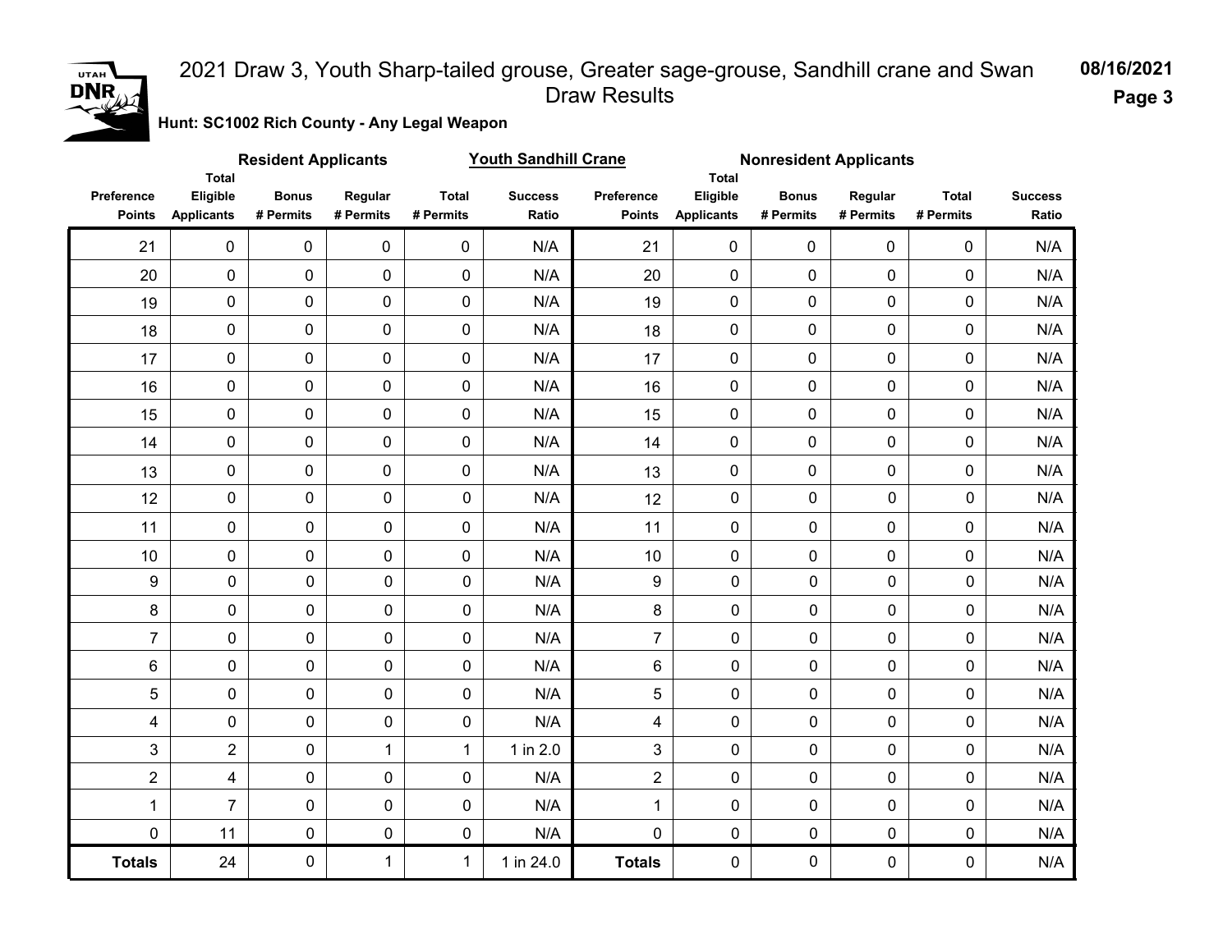

**Page 3**

**Hunt: SC1002 Rich County - Any Legal Weapon** 

|                             |                                        | <b>Resident Applicants</b> |                      |                           | <b>Youth Sandhill Crane</b> |                             |                               | <b>Nonresident Applicants</b><br>Total |                      |                           |                         |
|-----------------------------|----------------------------------------|----------------------------|----------------------|---------------------------|-----------------------------|-----------------------------|-------------------------------|----------------------------------------|----------------------|---------------------------|-------------------------|
| Preference<br><b>Points</b> | Total<br>Eligible<br><b>Applicants</b> | <b>Bonus</b><br># Permits  | Regular<br># Permits | <b>Total</b><br># Permits | <b>Success</b><br>Ratio     | Preference<br><b>Points</b> | Eligible<br><b>Applicants</b> | <b>Bonus</b><br># Permits              | Regular<br># Permits | <b>Total</b><br># Permits | <b>Success</b><br>Ratio |
| 21                          | $\mathsf{O}\xspace$                    | $\pmb{0}$                  | $\pmb{0}$            | $\mathbf 0$               | N/A                         | 21                          | $\mathbf 0$                   | $\mathbf 0$                            | 0                    | 0                         | N/A                     |
| 20                          | $\pmb{0}$                              | 0                          | $\mathbf 0$          | $\mathbf 0$               | N/A                         | 20                          | $\mathbf 0$                   | $\mathbf 0$                            | $\mathbf 0$          | 0                         | N/A                     |
| 19                          | $\pmb{0}$                              | $\pmb{0}$                  | $\pmb{0}$            | $\pmb{0}$                 | N/A                         | 19                          | $\pmb{0}$                     | 0                                      | $\mathbf 0$          | 0                         | N/A                     |
| 18                          | $\mathsf{O}\xspace$                    | 0                          | 0                    | $\pmb{0}$                 | N/A                         | 18                          | 0                             | 0                                      | $\mathbf 0$          | 0                         | N/A                     |
| 17                          | $\pmb{0}$                              | $\pmb{0}$                  | $\mathbf 0$          | 0                         | N/A                         | 17                          | 0                             | 0                                      | $\mathbf 0$          | 0                         | N/A                     |
| 16                          | $\pmb{0}$                              | 0                          | $\mathbf 0$          | $\pmb{0}$                 | N/A                         | 16                          | $\mathbf 0$                   | $\mathbf 0$                            | $\pmb{0}$            | $\pmb{0}$                 | N/A                     |
| 15                          | $\pmb{0}$                              | $\pmb{0}$                  | $\mathbf 0$          | $\pmb{0}$                 | N/A                         | 15                          | $\mathbf 0$                   | $\mathbf 0$                            | $\mathbf 0$          | 0                         | N/A                     |
| 14                          | $\pmb{0}$                              | 0                          | $\mathbf 0$          | $\pmb{0}$                 | N/A                         | 14                          | $\mathbf 0$                   | 0                                      | $\mathbf 0$          | 0                         | N/A                     |
| 13                          | $\mathbf 0$                            | 0                          | $\mathbf 0$          | $\mathbf 0$               | N/A                         | 13                          | $\mathbf 0$                   | 0                                      | $\mathbf 0$          | 0                         | N/A                     |
| 12                          | $\pmb{0}$                              | $\mathbf 0$                | $\mathbf 0$          | 0                         | N/A                         | 12                          | $\mathbf 0$                   | 0                                      | $\mathbf 0$          | 0                         | N/A                     |
| 11                          | $\pmb{0}$                              | $\mathbf 0$                | $\mathbf 0$          | 0                         | N/A                         | 11                          | $\mathbf 0$                   | 0                                      | 0                    | $\mathbf 0$               | N/A                     |
| 10                          | $\mathbf 0$                            | 0                          | $\mathbf 0$          | 0                         | N/A                         | 10                          | $\mathbf 0$                   | 0                                      | 0                    | $\mathbf 0$               | N/A                     |
| 9                           | 0                                      | $\pmb{0}$                  | 0                    | 0                         | N/A                         | 9                           | $\mathbf 0$                   | $\mathbf 0$                            | $\mathbf 0$          | $\mathbf 0$               | N/A                     |
| 8                           | 0                                      | $\pmb{0}$                  | $\pmb{0}$            | 0                         | N/A                         | 8                           | 0                             | $\mathbf 0$                            | $\mathbf 0$          | $\mathbf 0$               | N/A                     |
| $\overline{7}$              | 0                                      | $\pmb{0}$                  | $\pmb{0}$            | $\pmb{0}$                 | N/A                         | $\overline{7}$              | $\pmb{0}$                     | $\mathbf 0$                            | $\mathbf 0$          | $\mathbf 0$               | N/A                     |
| 6                           | 0                                      | 0                          | 0                    | 0                         | N/A                         | 6                           | $\mathbf 0$                   | $\mathbf 0$                            | $\mathbf 0$          | $\mathbf 0$               | N/A                     |
| 5                           | $\pmb{0}$                              | $\pmb{0}$                  | $\pmb{0}$            | 0                         | N/A                         | 5                           | $\mathbf 0$                   | $\mathbf 0$                            | $\mathbf 0$          | $\mathbf 0$               | N/A                     |
| 4                           | 0                                      | 0                          | 0                    | 0                         | N/A                         | $\overline{\mathbf{4}}$     | 0                             | $\overline{0}$                         | $\mathbf 0$          | 0                         | N/A                     |
| 3                           | $\overline{2}$                         | $\mathsf{O}$               | $\mathbf 1$          | $\mathbf 1$               | 1 in 2.0                    | 3                           | 0                             | $\pmb{0}$                              | $\mathbf 0$          | $\mathbf 0$               | N/A                     |
| $\overline{c}$              | 4                                      | $\pmb{0}$                  | 0                    | 0                         | N/A                         | $\overline{2}$              | $\pmb{0}$                     | $\pmb{0}$                              | $\pmb{0}$            | $\mathsf{O}\xspace$       | N/A                     |
| 1                           | $\overline{7}$                         | 0                          | 0                    | 0                         | N/A                         | $\mathbf{1}$                | 0                             | $\pmb{0}$                              | $\pmb{0}$            | 0                         | N/A                     |
| $\pmb{0}$                   | 11                                     | 0                          | 0                    | 0                         | N/A                         | 0                           | $\pmb{0}$                     | $\pmb{0}$                              | $\pmb{0}$            | $\pmb{0}$                 | N/A                     |
| <b>Totals</b>               | 24                                     | 0                          | 1                    | $\mathbf{1}$              | 1 in 24.0                   | <b>Totals</b>               | 0                             | $\pmb{0}$                              | $\mathbf 0$          | 0                         | N/A                     |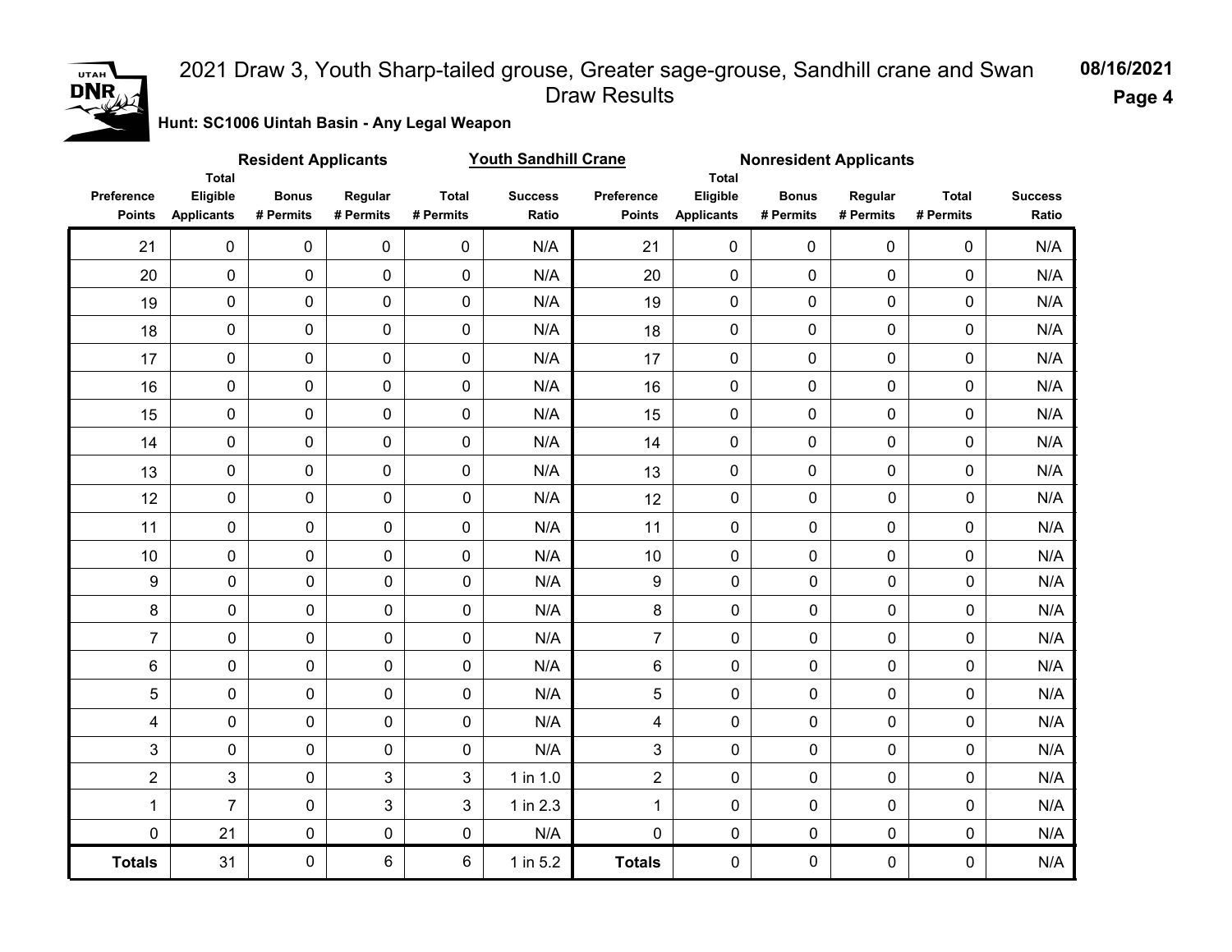

# **Hunt: SC1006 Uintah Basin - Any Legal Weapon 08/16/2021** 2021 Draw 3, Youth Sharp-tailed grouse, Greater sage-grouse, Sandhill crane and Swan Draw Results

|                             |                                               | <b>Resident Applicants</b> |                      |                           | <b>Youth Sandhill Crane</b> |                             | <b>Nonresident Applicants</b><br><b>Total</b><br>Eligible<br><b>Bonus</b><br>Regular<br><b>Applicants</b><br># Permits<br># Permits<br>$\mathbf 0$<br>$\mathbf 0$<br>$\mathbf 0$<br>$\pmb{0}$<br>$\mathbf 0$<br>$\mathbf 0$<br>$\mathbf 0$<br>0<br>$\mathbf 0$<br>0<br>$\mathbf 0$<br>0<br>0<br>0<br>$\mathbf 0$<br>0<br>0<br>0<br>0<br>0<br>$\mathbf 0$<br>0<br>0<br>0<br>$\mathbf 0$<br>0<br>0 |             |             |                           |                         |
|-----------------------------|-----------------------------------------------|----------------------------|----------------------|---------------------------|-----------------------------|-----------------------------|--------------------------------------------------------------------------------------------------------------------------------------------------------------------------------------------------------------------------------------------------------------------------------------------------------------------------------------------------------------------------------------------------|-------------|-------------|---------------------------|-------------------------|
| Preference<br><b>Points</b> | <b>Total</b><br>Eligible<br><b>Applicants</b> | <b>Bonus</b><br># Permits  | Regular<br># Permits | <b>Total</b><br># Permits | <b>Success</b><br>Ratio     | Preference<br><b>Points</b> |                                                                                                                                                                                                                                                                                                                                                                                                  |             |             | <b>Total</b><br># Permits | <b>Success</b><br>Ratio |
| 21                          | $\pmb{0}$                                     | 0                          | $\mathbf 0$          | $\pmb{0}$                 | N/A                         | 21                          |                                                                                                                                                                                                                                                                                                                                                                                                  |             |             | 0                         | N/A                     |
| 20                          | $\mathsf{O}\xspace$                           | 0                          | $\pmb{0}$            | $\pmb{0}$                 | N/A                         | 20                          |                                                                                                                                                                                                                                                                                                                                                                                                  |             |             | $\pmb{0}$                 | N/A                     |
| 19                          | $\mathsf{O}\xspace$                           | 0                          | $\mathbf 0$          | $\mathbf 0$               | N/A                         | 19                          |                                                                                                                                                                                                                                                                                                                                                                                                  |             |             | 0                         | N/A                     |
| 18                          | $\mathsf{O}\xspace$                           | 0                          | $\pmb{0}$            | $\pmb{0}$                 | N/A                         | 18                          |                                                                                                                                                                                                                                                                                                                                                                                                  |             |             | 0                         | N/A                     |
| 17                          | $\mathsf{O}\xspace$                           | 0                          | $\mathbf 0$          | $\mathbf 0$               | N/A                         | 17                          |                                                                                                                                                                                                                                                                                                                                                                                                  |             |             | 0                         | N/A                     |
| 16                          | $\pmb{0}$                                     | 0                          | $\pmb{0}$            | $\pmb{0}$                 | N/A                         | 16                          |                                                                                                                                                                                                                                                                                                                                                                                                  |             |             | 0                         | N/A                     |
| 15                          | $\mathsf{O}\xspace$                           | 0                          | $\mathbf 0$          | $\pmb{0}$                 | N/A                         | 15                          |                                                                                                                                                                                                                                                                                                                                                                                                  |             |             | 0                         | N/A                     |
| 14                          | $\pmb{0}$                                     | 0                          | $\pmb{0}$            | $\pmb{0}$                 | N/A                         | 14                          |                                                                                                                                                                                                                                                                                                                                                                                                  |             |             | $\pmb{0}$                 | N/A                     |
| 13                          | $\mathsf{O}\xspace$                           | 0                          | $\pmb{0}$            | $\pmb{0}$                 | N/A                         | 13                          |                                                                                                                                                                                                                                                                                                                                                                                                  |             |             | $\pmb{0}$                 | N/A                     |
| 12                          | $\pmb{0}$                                     | 0                          | $\pmb{0}$            | $\mathbf 0$               | N/A                         | 12                          | 0                                                                                                                                                                                                                                                                                                                                                                                                | $\mathbf 0$ | $\mathbf 0$ | $\pmb{0}$                 | N/A                     |
| 11                          | $\pmb{0}$                                     | 0                          | 0                    | $\mathbf 0$               | N/A                         | 11                          | 0                                                                                                                                                                                                                                                                                                                                                                                                | $\mathbf 0$ | 0           | 0                         | N/A                     |
| 10                          | 0                                             | 0                          | 0                    | 0                         | N/A                         | 10                          | 0                                                                                                                                                                                                                                                                                                                                                                                                | $\mathbf 0$ | 0           | 0                         | N/A                     |
| 9                           | $\pmb{0}$                                     | 0                          | $\pmb{0}$            | 0                         | N/A                         | 9                           | $\pmb{0}$                                                                                                                                                                                                                                                                                                                                                                                        | 0           | $\mathbf 0$ | 0                         | N/A                     |
| 8                           | $\pmb{0}$                                     | 0                          | $\pmb{0}$            | 0                         | N/A                         | 8                           | $\pmb{0}$                                                                                                                                                                                                                                                                                                                                                                                        | 0           | $\pmb{0}$   | 0                         | N/A                     |
| $\overline{7}$              | $\pmb{0}$                                     | 0                          | $\pmb{0}$            | 0                         | N/A                         | $\overline{7}$              | $\pmb{0}$                                                                                                                                                                                                                                                                                                                                                                                        | $\pmb{0}$   | $\mathbf 0$ | 0                         | N/A                     |
| $\,6$                       | $\pmb{0}$                                     | 0                          | $\pmb{0}$            | 0                         | N/A                         | 6                           | $\pmb{0}$                                                                                                                                                                                                                                                                                                                                                                                        | $\mathbf 0$ | $\mathbf 0$ | 0                         | N/A                     |
| 5                           | $\pmb{0}$                                     | 0                          | $\pmb{0}$            | $\mathbf 0$               | N/A                         | 5                           | $\pmb{0}$                                                                                                                                                                                                                                                                                                                                                                                        | $\mathbf 0$ | $\mathbf 0$ | $\pmb{0}$                 | N/A                     |
| 4                           | 0                                             | 0                          | $\pmb{0}$            | $\mathbf 0$               | N/A                         | 4                           | $\mathbf 0$                                                                                                                                                                                                                                                                                                                                                                                      | 0           | 0           | 0                         | N/A                     |
| 3                           | $\pmb{0}$                                     | 0                          | $\pmb{0}$            | 0                         | N/A                         | 3                           | $\pmb{0}$                                                                                                                                                                                                                                                                                                                                                                                        | 0           | $\mathbf 0$ | 0                         | N/A                     |
| $\boldsymbol{2}$            | $\mathbf{3}$                                  | 0                          | 3                    | 3                         | 1 in 1.0                    | $\overline{2}$              | 0                                                                                                                                                                                                                                                                                                                                                                                                | $\pmb{0}$   | $\mathbf 0$ | 0                         | N/A                     |
| $\mathbf 1$                 | $\overline{7}$                                | 0                          | 3                    | 3                         | 1 in 2.3                    | $\mathbf{1}$                | 0                                                                                                                                                                                                                                                                                                                                                                                                | 0           | $\mathbf 0$ | 0                         | N/A                     |
| $\pmb{0}$                   | 21                                            | 0                          | $\pmb{0}$            | $\pmb{0}$                 | N/A                         | 0                           | $\pmb{0}$                                                                                                                                                                                                                                                                                                                                                                                        | $\pmb{0}$   | $\mathbf 0$ | 0                         | N/A                     |
| <b>Totals</b>               | 31                                            | 0                          | 6                    | 6                         | 1 in 5.2                    | <b>Totals</b>               | $\pmb{0}$                                                                                                                                                                                                                                                                                                                                                                                        | $\mathbf 0$ | 0           | 0                         | N/A                     |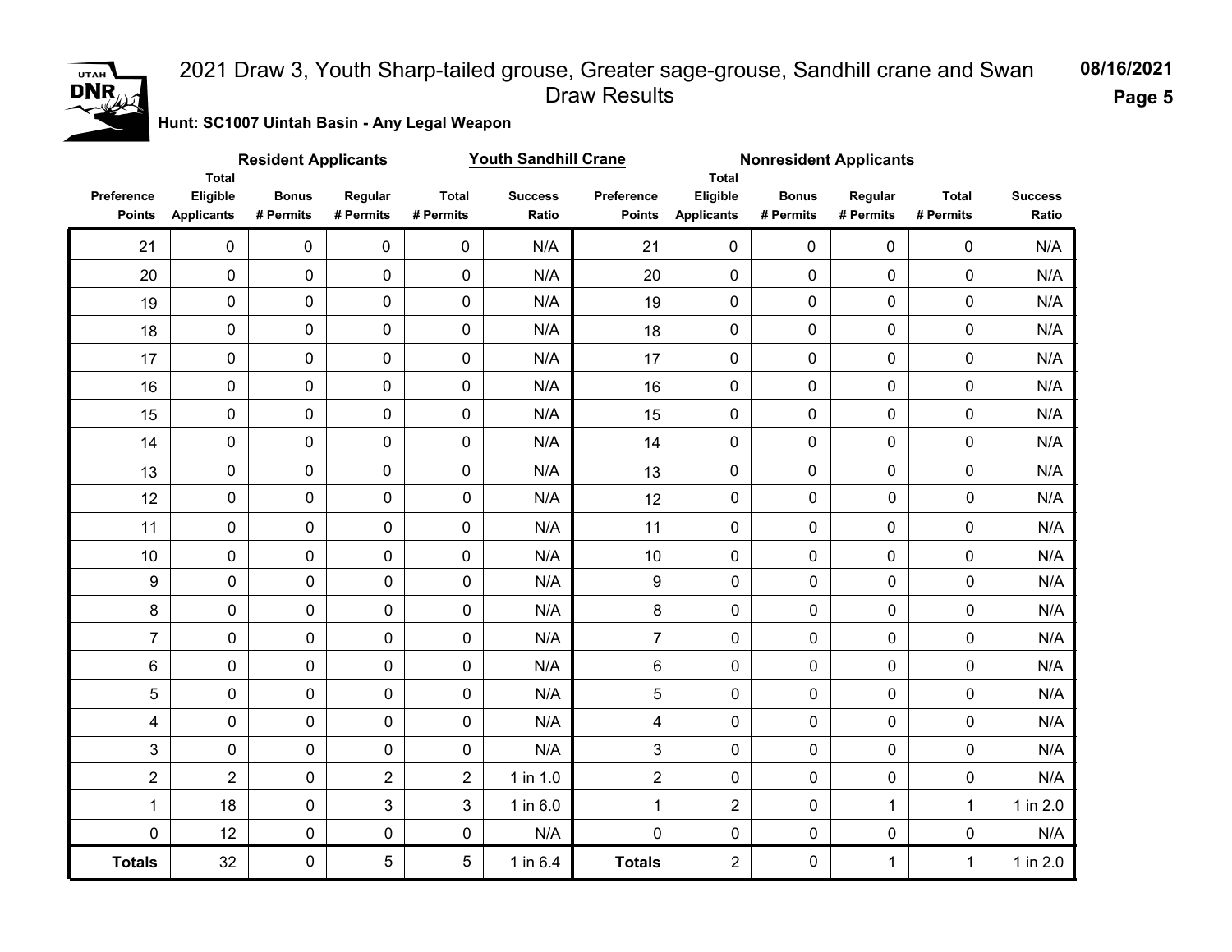

**Page 5**

**Hunt: SC1007 Uintah Basin - Any Legal Weapon** 

| <b>Youth Sandhill Crane</b><br><b>Resident Applicants</b><br>Total |                               |                           |                      |                           |                         | <b>Nonresident Applicants</b> |                                               |                           |                      |                           |                         |  |
|--------------------------------------------------------------------|-------------------------------|---------------------------|----------------------|---------------------------|-------------------------|-------------------------------|-----------------------------------------------|---------------------------|----------------------|---------------------------|-------------------------|--|
| Preference<br><b>Points</b>                                        | Eligible<br><b>Applicants</b> | <b>Bonus</b><br># Permits | Regular<br># Permits | <b>Total</b><br># Permits | <b>Success</b><br>Ratio | Preference<br><b>Points</b>   | <b>Total</b><br>Eligible<br><b>Applicants</b> | <b>Bonus</b><br># Permits | Regular<br># Permits | <b>Total</b><br># Permits | <b>Success</b><br>Ratio |  |
| 21                                                                 | $\mathbf 0$                   | $\pmb{0}$                 | $\mathbf 0$          | 0                         | N/A                     | 21                            | $\mathbf 0$                                   | $\mathbf 0$               | $\mathbf 0$          | 0                         | N/A                     |  |
| 20                                                                 | $\mathsf 0$                   | 0                         | $\pmb{0}$            | $\pmb{0}$                 | N/A                     | 20                            | $\pmb{0}$                                     | $\mathbf 0$               | 0                    | 0                         | N/A                     |  |
| 19                                                                 | $\mathbf 0$                   | 0                         | $\pmb{0}$            | 0                         | N/A                     | 19                            | $\mathbf 0$                                   | $\mathbf 0$               | 0                    | 0                         | N/A                     |  |
| 18                                                                 | $\pmb{0}$                     | 0                         | $\pmb{0}$            | 0                         | N/A                     | 18                            | $\pmb{0}$                                     | $\pmb{0}$                 | 0                    | 0                         | N/A                     |  |
| 17                                                                 | $\pmb{0}$                     | 0                         | $\mathbf 0$          | 0                         | N/A                     | 17                            | 0                                             | $\mathbf 0$               | 0                    | 0                         | N/A                     |  |
| 16                                                                 | $\pmb{0}$                     | 0                         | $\pmb{0}$            | $\pmb{0}$                 | N/A                     | 16                            | 0                                             | $\mathbf 0$               | 0                    | 0                         | N/A                     |  |
| 15                                                                 | $\pmb{0}$                     | 0                         | $\mathbf 0$          | 0                         | N/A                     | 15                            | 0                                             | $\mathbf 0$               | 0                    | 0                         | N/A                     |  |
| 14                                                                 | $\pmb{0}$                     | 0                         | $\mathbf 0$          | $\mathbf 0$               | N/A                     | 14                            | 0                                             | $\mathbf 0$               | $\mathbf 0$          | 0                         | N/A                     |  |
| 13                                                                 | 0                             | 0                         | $\pmb{0}$            | 0                         | N/A                     | 13                            | 0                                             | $\pmb{0}$                 | 0                    | 0                         | N/A                     |  |
| 12                                                                 | 0                             | 0                         | 0                    | $\pmb{0}$                 | N/A                     | 12                            | $\pmb{0}$                                     | $\mathbf 0$               | $\mathbf 0$          | $\mathbf 0$               | N/A                     |  |
| 11                                                                 | 0                             | $\pmb{0}$                 | $\mathbf 0$          | $\mathbf 0$               | N/A                     | 11                            | $\mathbf 0$                                   | $\mathbf 0$               | 0                    | 0                         | N/A                     |  |
| 10                                                                 | 0                             | $\pmb{0}$                 | $\mathbf 0$          | 0                         | N/A                     | 10                            | $\mathbf 0$                                   | 0                         | 0                    | 0                         | N/A                     |  |
| 9                                                                  | 0                             | $\pmb{0}$                 | $\mathbf 0$          | $\pmb{0}$                 | N/A                     | 9                             | $\mathbf 0$                                   | 0                         | $\mathbf 0$          | $\pmb{0}$                 | N/A                     |  |
| $\bf 8$                                                            | 0                             | $\pmb{0}$                 | $\mathbf 0$          | 0                         | N/A                     | 8                             | $\mathbf 0$                                   | $\mathbf 0$               | $\mathbf 0$          | 0                         | N/A                     |  |
| $\overline{7}$                                                     | 0                             | $\pmb{0}$                 | $\mathbf 0$          | $\mathsf{O}\xspace$       | N/A                     | $\overline{7}$                | $\mathbf 0$                                   | $\mathbf 0$               | $\mathbf 0$          | $\mathbf 0$               | N/A                     |  |
| $\,6\,$                                                            | 0                             | $\mathbf 0$               | $\mathbf 0$          | 0                         | N/A                     | $6\phantom{1}$                | $\mathbf 0$                                   | $\mathbf 0$               | $\mathbf 0$          | $\mathbf 0$               | N/A                     |  |
| 5                                                                  | 0                             | $\pmb{0}$                 | $\mathbf 0$          | $\pmb{0}$                 | N/A                     | 5                             | $\pmb{0}$                                     | 0                         | $\mathbf 0$          | 0                         | N/A                     |  |
| 4                                                                  | $\pmb{0}$                     | $\pmb{0}$                 | $\mathbf 0$          | $\pmb{0}$                 | N/A                     | 4                             | $\mathbf 0$                                   | $\mathbf 0$               | $\mathbf 0$          | 0                         | N/A                     |  |
| 3                                                                  | 0                             | 0                         | $\mathbf 0$          | 0                         | N/A                     | 3                             | 0                                             | 0                         | $\pmb{0}$            | 0                         | N/A                     |  |
| $\overline{2}$                                                     | $\overline{2}$                | $\pmb{0}$                 | $\overline{2}$       | $\overline{2}$            | $1$ in $1.0$            | $\overline{2}$                | $\mathbf 0$                                   | $\mathbf 0$               | $\pmb{0}$            | $\pmb{0}$                 | N/A                     |  |
| 1                                                                  | 18                            | 0                         | 3                    | 3                         | 1 in 6.0                | $\mathbf{1}$                  | $\overline{2}$                                | 0                         | $\mathbf{1}$         | $\mathbf{1}$              | 1 in 2.0                |  |
| $\mathbf 0$                                                        | 12                            | $\pmb{0}$                 | $\mathsf{O}\xspace$  | $\pmb{0}$                 | N/A                     | $\mathbf 0$                   | $\mathbf 0$                                   | $\mathbf 0$               | $\pmb{0}$            | $\pmb{0}$                 | N/A                     |  |
| <b>Totals</b>                                                      | 32                            | $\pmb{0}$                 | 5                    | 5                         | 1 in 6.4                | <b>Totals</b>                 | $\overline{2}$                                | $\mathbf 0$               | $\mathbf 1$          | $\mathbf{1}$              | 1 in 2.0                |  |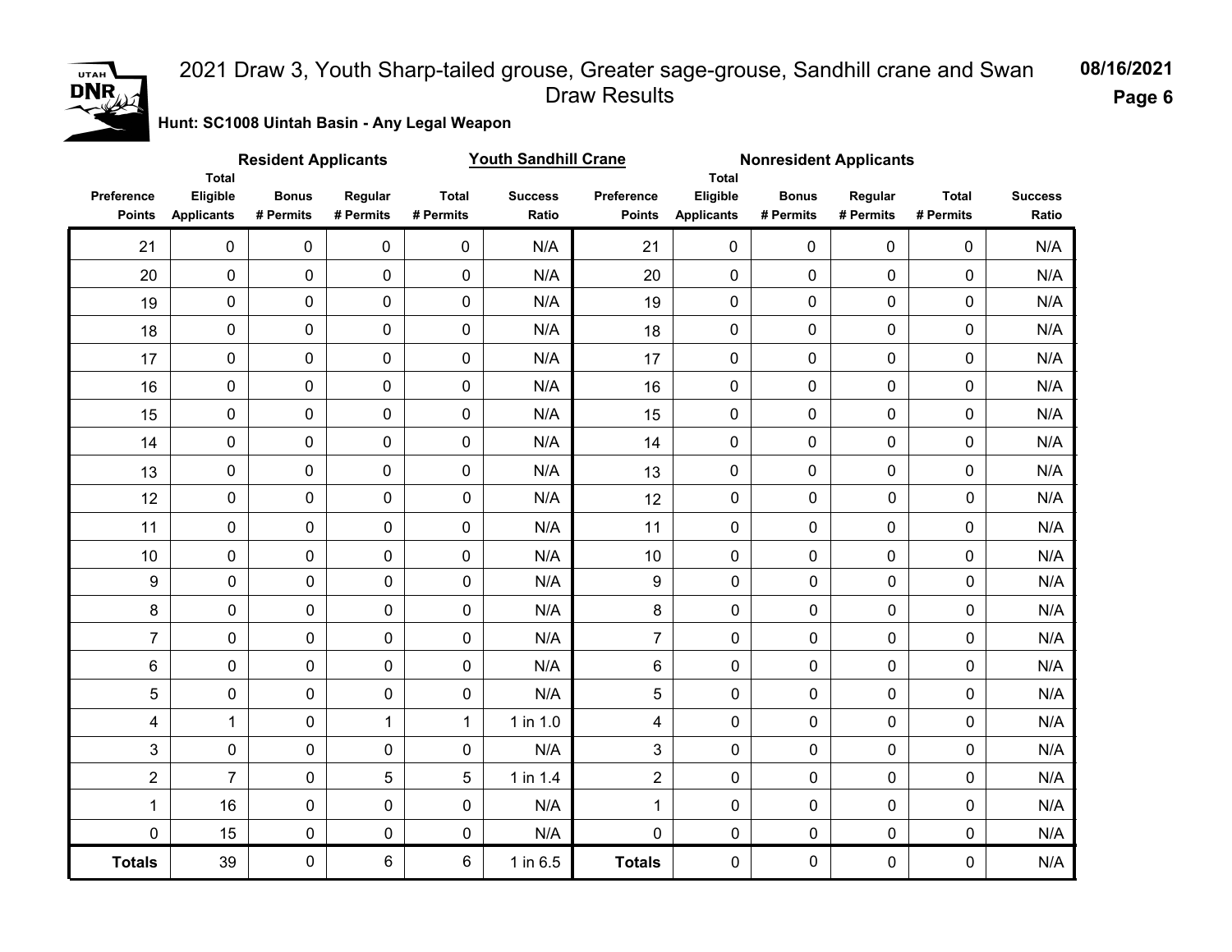

**Page 6**

**Hunt: SC1008 Uintah Basin - Any Legal Weapon** 

| <b>Resident Applicants</b><br><b>Total</b> |                               |                           |                      |                           | <b>Youth Sandhill Crane</b> | <b>Nonresident Applicants</b> |                                        |                           |                      |                           |                         |  |
|--------------------------------------------|-------------------------------|---------------------------|----------------------|---------------------------|-----------------------------|-------------------------------|----------------------------------------|---------------------------|----------------------|---------------------------|-------------------------|--|
| Preference<br><b>Points</b>                | Eligible<br><b>Applicants</b> | <b>Bonus</b><br># Permits | Regular<br># Permits | <b>Total</b><br># Permits | <b>Success</b><br>Ratio     | Preference<br><b>Points</b>   | Total<br>Eligible<br><b>Applicants</b> | <b>Bonus</b><br># Permits | Regular<br># Permits | <b>Total</b><br># Permits | <b>Success</b><br>Ratio |  |
| 21                                         | $\mathbf 0$                   | $\pmb{0}$                 | $\pmb{0}$            | $\mathbf 0$               | N/A                         | 21                            | $\mathbf 0$                            | $\mathbf 0$               | $\mathbf 0$          | 0                         | N/A                     |  |
| 20                                         | $\pmb{0}$                     | 0                         | $\pmb{0}$            | $\mathbf 0$               | N/A                         | 20                            | 0                                      | $\mathbf 0$               | 0                    | $\mathbf 0$               | N/A                     |  |
| 19                                         | $\pmb{0}$                     | 0                         | $\mathbf 0$          | $\mathbf 0$               | N/A                         | 19                            | 0                                      | 0                         | $\mathbf 0$          | $\mathbf 0$               | N/A                     |  |
| 18                                         | 0                             | 0                         | 0                    | 0                         | N/A                         | 18                            | 0                                      | $\mathbf 0$               | 0                    | 0                         | N/A                     |  |
| 17                                         | 0                             | 0                         | $\mathbf 0$          | $\mathbf 0$               | N/A                         | 17                            | 0                                      | $\mathbf 0$               | $\mathbf 0$          | $\mathbf 0$               | N/A                     |  |
| 16                                         | 0                             | $\pmb{0}$                 | $\pmb{0}$            | $\pmb{0}$                 | N/A                         | 16                            | 0                                      | $\mathbf 0$               | $\mathbf 0$          | $\mathbf 0$               | N/A                     |  |
| 15                                         | 0                             | $\pmb{0}$                 | $\mathbf 0$          | $\mathbf 0$               | N/A                         | 15                            | 0                                      | $\mathbf 0$               | $\mathbf 0$          | 0                         | N/A                     |  |
| 14                                         | 0                             | $\pmb{0}$                 | 0                    | $\pmb{0}$                 | N/A                         | 14                            | 0                                      | $\mathbf 0$               | $\mathbf 0$          | $\mathbf 0$               | N/A                     |  |
| 13                                         | 0                             | $\pmb{0}$                 | $\mathbf 0$          | $\mathbf 0$               | N/A                         | 13                            | 0                                      | $\mathbf 0$               | $\mathbf 0$          | $\mathbf 0$               | N/A                     |  |
| 12                                         | 0                             | $\mathbf 0$               | $\mathbf 0$          | $\mathbf 0$               | N/A                         | 12                            | $\mathbf 0$                            | $\mathbf 0$               | 0                    | $\mathbf 0$               | N/A                     |  |
| 11                                         | 0                             | $\mathbf 0$               | $\mathbf 0$          | $\mathbf 0$               | N/A                         | 11                            | $\mathbf 0$                            | 0                         | 0                    | $\mathbf 0$               | N/A                     |  |
| 10                                         | 0                             | $\mathbf 0$               | $\mathbf 0$          | 0                         | N/A                         | 10                            | $\mathbf 0$                            | 0                         | 0                    | $\mathbf 0$               | N/A                     |  |
| 9                                          | $\pmb{0}$                     | $\mathbf 0$               | $\mathbf 0$          | 0                         | N/A                         | 9                             | 0                                      | 0                         | $\mathbf 0$          | $\mathbf 0$               | N/A                     |  |
| 8                                          | $\pmb{0}$                     | $\pmb{0}$                 | 0                    | 0                         | N/A                         | 8                             | 0                                      | 0                         | $\mathbf 0$          | $\mathbf 0$               | N/A                     |  |
| $\overline{7}$                             | $\pmb{0}$                     | $\pmb{0}$                 | 0                    | $\mathbf 0$               | N/A                         | $\overline{7}$                | 0                                      | 0                         | $\mathbf 0$          | $\mathbf 0$               | N/A                     |  |
| $\,6\,$                                    | $\pmb{0}$                     | $\mathbf 0$               | 0                    | 0                         | N/A                         | 6                             | $\mathbf 0$                            | $\mathbf 0$               | $\mathbf 0$          | $\mathbf 0$               | N/A                     |  |
| 5                                          | $\pmb{0}$                     | $\mathbf 0$               | $\mathbf 0$          | $\mathbf 0$               | N/A                         | 5                             | $\mathbf 0$                            | 0                         | $\mathbf 0$          | $\mathbf 0$               | N/A                     |  |
| 4                                          | $\mathbf{1}$                  | $\mathbf 0$               | $\mathbf{1}$         | 1                         | $1$ in $1.0$                | $\overline{4}$                | 0                                      | 0                         | $\mathbf 0$          | $\mathbf 0$               | N/A                     |  |
| 3                                          | $\pmb{0}$                     | $\mathbf 0$               | 0                    | 0                         | N/A                         | 3                             | 0                                      | 0                         | $\mathbf 0$          | $\mathbf 0$               | N/A                     |  |
| $\overline{2}$                             | $\overline{7}$                | $\pmb{0}$                 | 5                    | 5                         | 1 in 1.4                    | $\overline{2}$                | 0                                      | $\pmb{0}$                 | $\pmb{0}$            | $\pmb{0}$                 | N/A                     |  |
| 1                                          | 16                            | $\pmb{0}$                 | 0                    | 0                         | N/A                         | $\mathbf 1$                   | 0                                      | 0                         | $\pmb{0}$            | 0                         | N/A                     |  |
| 0                                          | 15                            | $\pmb{0}$                 | 0                    | $\pmb{0}$                 | N/A                         | $\mathbf 0$                   | 0                                      | $\pmb{0}$                 | $\pmb{0}$            | $\mathsf{O}\xspace$       | N/A                     |  |
| <b>Totals</b>                              | 39                            | $\mathsf{O}\xspace$       | 6                    | 6                         | 1 in 6.5                    | <b>Totals</b>                 | 0                                      | 0                         | $\pmb{0}$            | $\mathsf{O}\xspace$       | N/A                     |  |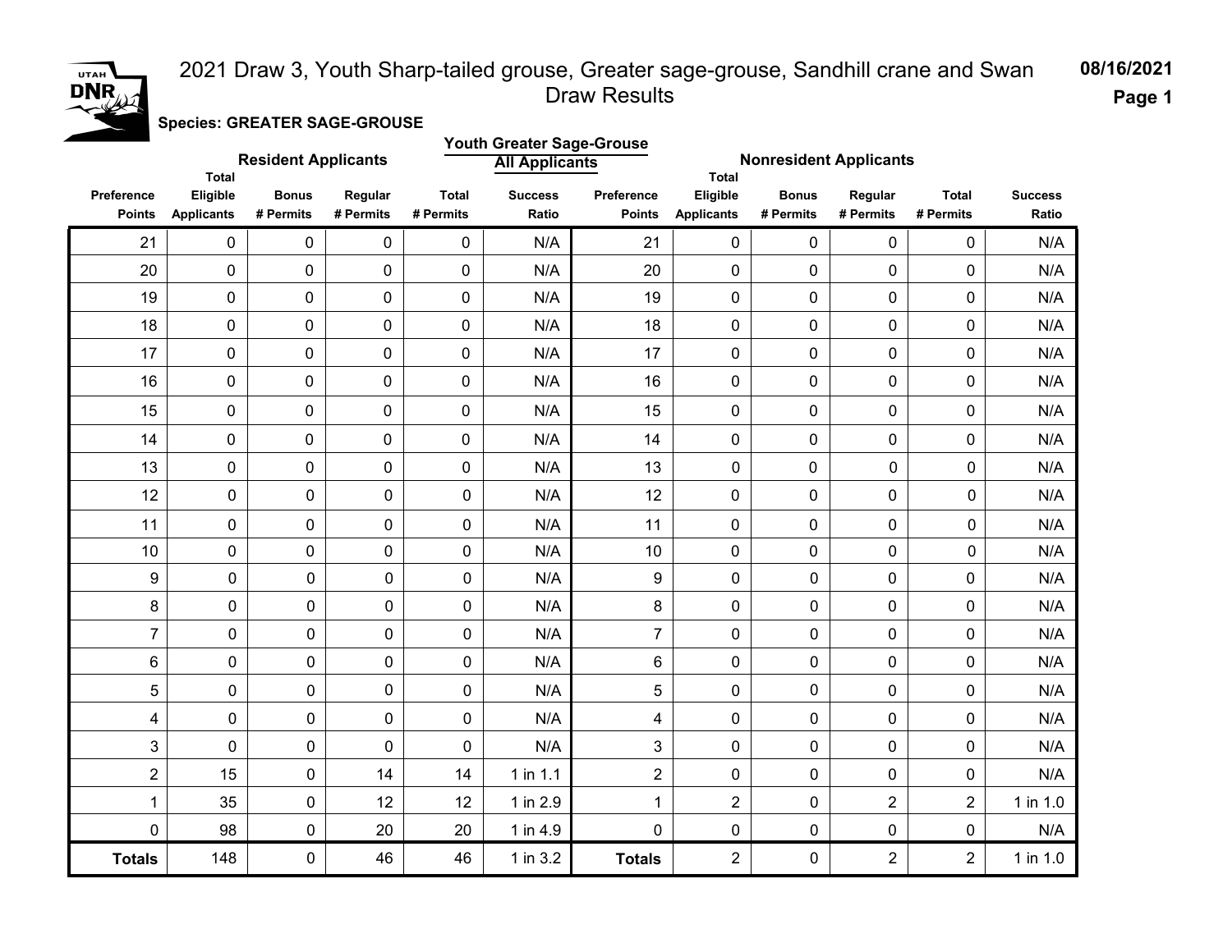# UTAH<sup></sup> DNR

#### **Page 1** 2021 Draw 3, Youth Sharp-tailed grouse, Greater sage-grouse, Sandhill crane and Swan Draw Results

**Species: GREATER SAGE-GROUSE**

|                             | <b>Total</b>                  | <b>Resident Applicants</b> |                      | <b>Youth Greater Sage-Grouse</b><br><b>All Applicants</b> |                         |                             | <b>Nonresident Applicants</b><br><b>Total</b> |                           |                      |                           |                         |
|-----------------------------|-------------------------------|----------------------------|----------------------|-----------------------------------------------------------|-------------------------|-----------------------------|-----------------------------------------------|---------------------------|----------------------|---------------------------|-------------------------|
| Preference<br><b>Points</b> | Eligible<br><b>Applicants</b> | <b>Bonus</b><br># Permits  | Regular<br># Permits | <b>Total</b><br># Permits                                 | <b>Success</b><br>Ratio | Preference<br><b>Points</b> | Eligible<br><b>Applicants</b>                 | <b>Bonus</b><br># Permits | Regular<br># Permits | <b>Total</b><br># Permits | <b>Success</b><br>Ratio |
| 21                          | $\pmb{0}$                     | $\mathbf 0$                | 0                    | 0                                                         | N/A                     | 21                          | 0                                             | 0                         | $\mathbf 0$          | 0                         | N/A                     |
| 20                          | $\pmb{0}$                     | $\mathbf 0$                | 0                    | 0                                                         | N/A                     | 20                          | 0                                             | 0                         | $\mathsf{O}\xspace$  | 0                         | N/A                     |
| 19                          | $\pmb{0}$                     | $\mathbf 0$                | $\mathbf 0$          | 0                                                         | N/A                     | 19                          | 0                                             | 0                         | $\pmb{0}$            | 0                         | N/A                     |
| 18                          | $\pmb{0}$                     | $\mathbf 0$                | 0                    | 0                                                         | N/A                     | 18                          | 0                                             | 0                         | 0                    | 0                         | N/A                     |
| 17                          | $\pmb{0}$                     | $\pmb{0}$                  | $\mathbf 0$          | $\overline{0}$                                            | N/A                     | 17                          | $\mathbf 0$                                   | 0                         | $\mathbf 0$          | 0                         | N/A                     |
| 16                          | $\mathbf 0$                   | $\mathbf 0$                | $\mathbf 0$          | 0                                                         | N/A                     | 16                          | 0                                             | 0                         | $\mathbf 0$          | 0                         | N/A                     |
| 15                          | $\pmb{0}$                     | $\mathbf 0$                | 0                    | 0                                                         | N/A                     | 15                          | 0                                             | 0                         | $\mathbf 0$          | 0                         | N/A                     |
| 14                          | $\pmb{0}$                     | $\mathbf 0$                | 0                    | 0                                                         | N/A                     | 14                          | 0                                             | 0                         | $\pmb{0}$            | 0                         | N/A                     |
| 13                          | $\mathbf 0$                   | 0                          | 0                    | $\mathbf 0$                                               | N/A                     | 13                          | 0                                             | 0                         | 0                    | 0                         | N/A                     |
| 12                          | $\mathbf 0$                   | 0                          | 0                    | $\mathbf 0$                                               | N/A                     | 12                          | 0                                             | 0                         | $\mathbf 0$          | 0                         | N/A                     |
| 11                          | $\mathbf 0$                   | 0                          | 0                    | $\mathbf 0$                                               | N/A                     | 11                          | 0                                             | 0                         | $\mathbf 0$          | 0                         | N/A                     |
| 10                          | $\mathbf 0$                   | 0                          | 0                    | $\mathbf 0$                                               | N/A                     | 10                          | 0                                             | 0                         | $\overline{0}$       | 0                         | N/A                     |
| 9                           | 0                             | 0                          | 0                    | 0                                                         | N/A                     | 9                           | 0                                             | $\mathbf 0$               | $\mathbf 0$          | 0                         | N/A                     |
| 8                           | $\mathbf 0$                   | 0                          | 0                    | 0                                                         | N/A                     | 8                           | 0                                             | $\mathbf 0$               | $\mathbf 0$          | 0                         | N/A                     |
| $\overline{7}$              | 0                             | 0                          | 0                    | 0                                                         | N/A                     | $\overline{7}$              | 0                                             | $\mathbf 0$               | $\mathbf 0$          | 0                         | N/A                     |
| 6                           | $\pmb{0}$                     | 0                          | 0                    | $\pmb{0}$                                                 | N/A                     | 6                           | 0                                             | $\pmb{0}$                 | $\pmb{0}$            | 0                         | N/A                     |
| 5                           | $\mathbf 0$                   | 0                          | 0                    | $\mathbf 0$                                               | N/A                     | 5                           | 0                                             | $\overline{0}$            | $\mathbf 0$          | 0                         | N/A                     |
| 4                           | $\mathbf 0$                   | 0                          | 0                    | 0                                                         | N/A                     | 4                           | 0                                             | 0                         | $\mathbf 0$          | 0                         | N/A                     |
| 3                           | 0                             | 0                          | 0                    | 0                                                         | N/A                     | 3                           | 0                                             | $\pmb{0}$                 | $\mathbf 0$          | 0                         | N/A                     |
| $\overline{2}$              | 15                            | 0                          | 14                   | 14                                                        | $1$ in 1.1              | $\overline{2}$              | 0                                             | $\mathbf 0$               | $\mathbf 0$          | 0                         | N/A                     |
| $\mathbf 1$                 | 35                            | 0                          | 12                   | 12                                                        | 1 in 2.9                | 1                           | $\overline{2}$                                | $\mathbf 0$               | $\overline{2}$       | $\overline{2}$            | 1 in 1.0                |
| $\pmb{0}$                   | 98                            | 0                          | 20                   | 20                                                        | 1 in 4.9                | 0                           | 0                                             | $\pmb{0}$                 | 0                    | 0                         | N/A                     |
| <b>Totals</b>               | 148                           | 0                          | 46                   | 46                                                        | 1 in 3.2                | <b>Totals</b>               | $\overline{2}$                                | $\mathbf 0$               | $\overline{2}$       | $\overline{2}$            | $1$ in $1.0$            |

**08/16/2021**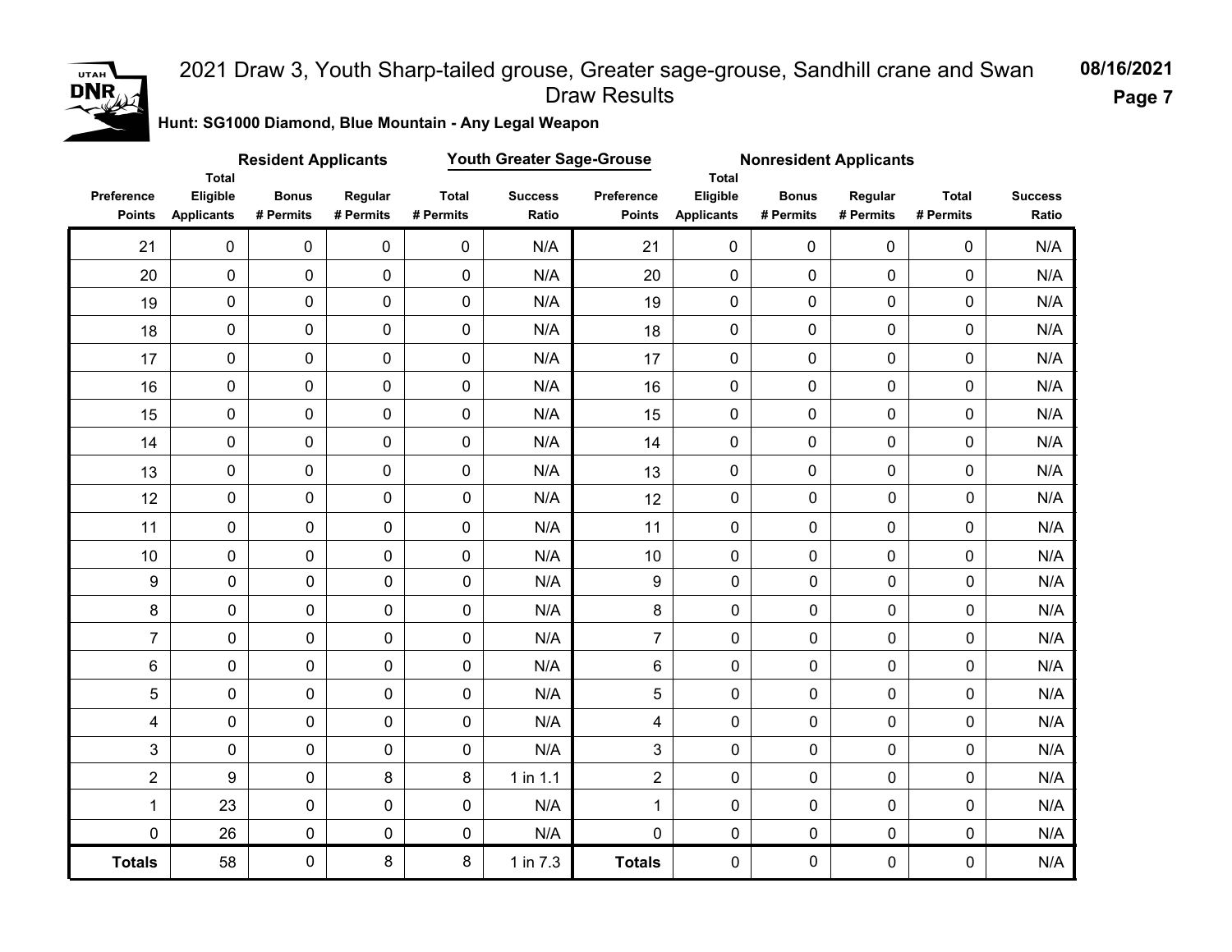

**Hunt: SG1000 Diamond, Blue Mountain - Any Legal Weapon** 

|                             |                                               | <b>Resident Applicants</b> |                      |                           | Youth Greater Sage-Grouse |                             | <b>Nonresident Applicants</b><br><b>Total</b><br>Eligible<br><b>Bonus</b><br>Regular |             |             |                           |                         |
|-----------------------------|-----------------------------------------------|----------------------------|----------------------|---------------------------|---------------------------|-----------------------------|--------------------------------------------------------------------------------------|-------------|-------------|---------------------------|-------------------------|
| Preference<br><b>Points</b> | <b>Total</b><br>Eligible<br><b>Applicants</b> | <b>Bonus</b><br># Permits  | Regular<br># Permits | <b>Total</b><br># Permits | <b>Success</b><br>Ratio   | Preference<br><b>Points</b> | <b>Applicants</b>                                                                    | # Permits   | # Permits   | <b>Total</b><br># Permits | <b>Success</b><br>Ratio |
| 21                          | $\mathsf{O}\xspace$                           | $\mathsf{O}\xspace$        | $\mathsf 0$          | $\mathbf 0$               | N/A                       | 21                          | $\mathbf 0$                                                                          | $\mathbf 0$ | $\mathbf 0$ | 0                         | N/A                     |
| 20                          | $\mathbf 0$                                   | 0                          | 0                    | $\mathbf 0$               | N/A                       | 20                          | $\pmb{0}$                                                                            | $\mathbf 0$ | 0           | 0                         | N/A                     |
| 19                          | $\mathbf 0$                                   | $\mathbf 0$                | 0                    | $\mathbf 0$               | N/A                       | 19                          | $\mathbf 0$                                                                          | $\mathbf 0$ | 0           | 0                         | N/A                     |
| 18                          | $\mathsf{O}\xspace$                           | 0                          | 0                    | $\mathbf 0$               | N/A                       | 18                          | 0                                                                                    | $\mathbf 0$ | 0           | 0                         | N/A                     |
| 17                          | $\mathsf{O}\xspace$                           | 0                          | 0                    | $\mathbf 0$               | N/A                       | 17                          | $\mathbf 0$                                                                          | $\pmb{0}$   | 0           | 0                         | N/A                     |
| 16                          | $\mathsf{O}\xspace$                           | $\pmb{0}$                  | 0                    | $\pmb{0}$                 | N/A                       | 16                          | $\mathsf{O}\xspace$                                                                  | $\mathbf 0$ | 0           | 0                         | N/A                     |
| 15                          | $\mathbf 0$                                   | 0                          | 0                    | $\mathsf{O}\xspace$       | N/A                       | 15                          | $\pmb{0}$                                                                            | $\mathbf 0$ | 0           | 0                         | N/A                     |
| 14                          | $\mathbf 0$                                   | $\pmb{0}$                  | 0                    | $\mathbf 0$               | N/A                       | 14                          | $\mathbf 0$                                                                          | $\mathbf 0$ | 0           | 0                         | N/A                     |
| 13                          | $\mathbf 0$                                   | $\pmb{0}$                  | 0                    | $\mathsf{O}\xspace$       | N/A                       | 13                          | $\pmb{0}$                                                                            | $\mathbf 0$ | 0           | 0                         | N/A                     |
| 12                          | $\pmb{0}$                                     | 0                          | $\pmb{0}$            | $\mathbf 0$               | N/A                       | 12                          | $\mathbf 0$                                                                          | $\mathbf 0$ | $\mathbf 0$ | $\mathbf 0$               | N/A                     |
| 11                          | $\pmb{0}$                                     | 0                          | $\overline{0}$       | $\mathbf 0$               | N/A                       | 11                          | $\mathbf 0$                                                                          | $\mathbf 0$ | $\mathbf 0$ | 0                         | N/A                     |
| 10                          | $\mathsf{O}\xspace$                           | 0                          | 0                    | $\mathbf 0$               | N/A                       | 10                          | $\mathbf 0$                                                                          | $\mathbf 0$ | 0           | 0                         | N/A                     |
| $\boldsymbol{9}$            | $\pmb{0}$                                     | $\pmb{0}$                  | $\mathbf 0$          | $\mathbf 0$               | N/A                       | 9                           | $\mathbf 0$                                                                          | $\mathbf 0$ | $\mathbf 0$ | $\mathbf 0$               | N/A                     |
| $\bf 8$                     | $\pmb{0}$                                     | $\pmb{0}$                  | $\mathbf 0$          | $\mathbf 0$               | N/A                       | 8                           | $\mathsf{O}\xspace$                                                                  | 0           | 0           | $\pmb{0}$                 | N/A                     |
| $\overline{7}$              | $\mathsf{O}\xspace$                           | $\pmb{0}$                  | $\mathbf 0$          | $\mathbf 0$               | N/A                       | $\overline{7}$              | $\mathbf 0$                                                                          | $\mathbf 0$ | 0           | $\mathbf 0$               | N/A                     |
| $\,6\,$                     | 0                                             | $\pmb{0}$                  | $\pmb{0}$            | 0                         | N/A                       | 6                           | $\pmb{0}$                                                                            | $\pmb{0}$   | 0           | $\mathbf 0$               | N/A                     |
| 5                           | $\mathsf{O}\xspace$                           | $\mathbf 0$                | 0                    | 0                         | N/A                       | 5                           | $\mathbf 0$                                                                          | $\mathbf 0$ | 0           | $\mathbf 0$               | N/A                     |
| $\overline{\mathbf{4}}$     | $\pmb{0}$                                     | $\pmb{0}$                  | $\mathbf 0$          | $\mathbf 0$               | N/A                       | $\overline{\mathbf{4}}$     | $\mathbf 0$                                                                          | 0           | 0           | $\mathbf 0$               | N/A                     |
| 3                           | 0                                             | $\mathbf 0$                | $\mathbf 0$          | 0                         | N/A                       | 3                           | $\mathbf 0$                                                                          | 0           | 0           | $\mathbf 0$               | N/A                     |
| $\overline{2}$              | 9                                             | 0                          | 8                    | 8                         | $1$ in $1.1$              | $\overline{2}$              | $\mathbf 0$                                                                          | $\mathbf 0$ | 0           | 0                         | N/A                     |
| $\mathbf 1$                 | 23                                            | 0                          | $\mathbf 0$          | 0                         | N/A                       | $\mathbf{1}$                | $\mathbf 0$                                                                          | 0           | 0           | 0                         | N/A                     |
| $\pmb{0}$                   | 26                                            | $\pmb{0}$                  | $\pmb{0}$            | $\pmb{0}$                 | N/A                       | $\mathsf{O}$                | $\mathsf{O}\xspace$                                                                  | $\pmb{0}$   | 0           | $\mathsf{O}$              | N/A                     |
| <b>Totals</b>               | 58                                            | 0                          | 8                    | 8                         | 1 in 7.3                  | <b>Totals</b>               | $\mathbf 0$                                                                          | 0           | 0           | 0                         | N/A                     |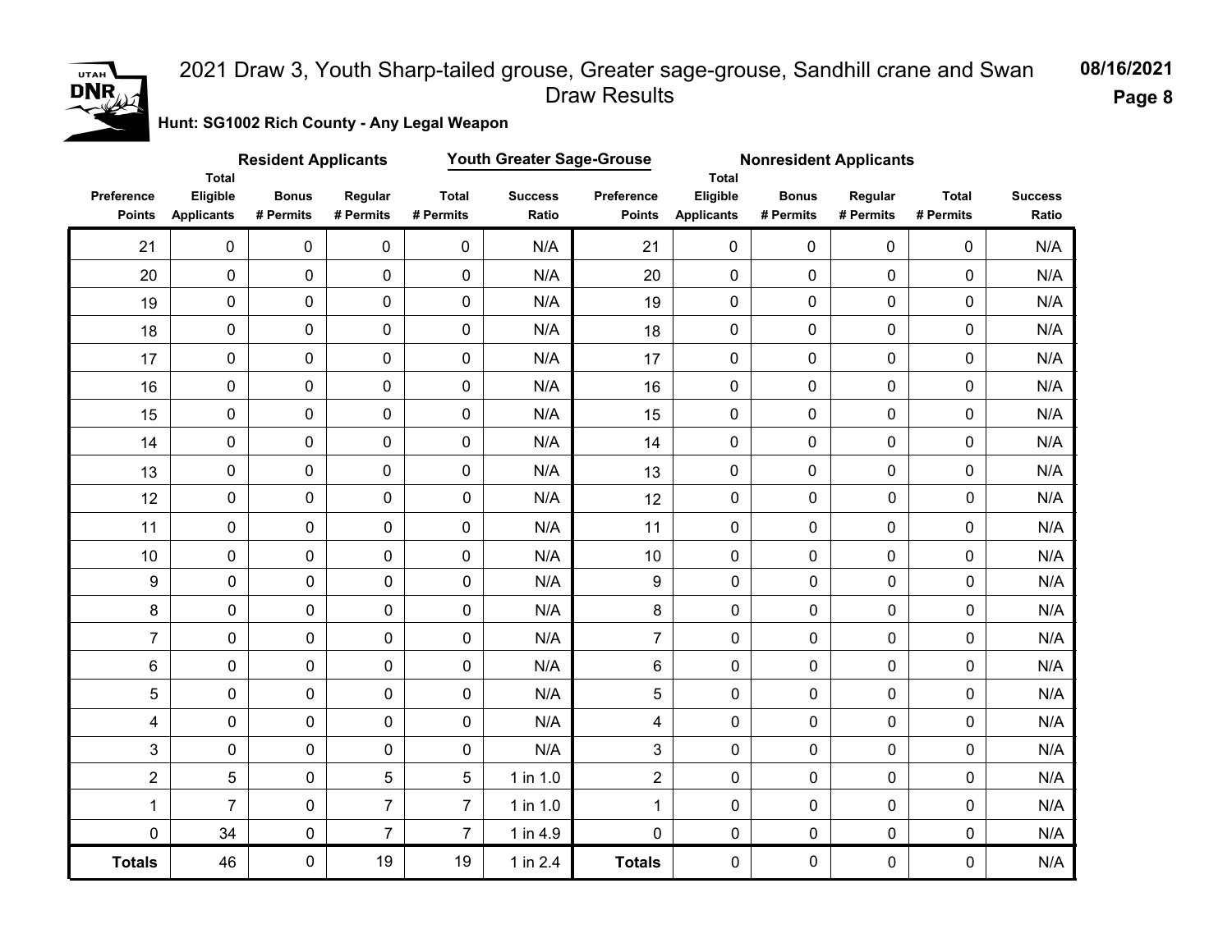

**Hunt: SG1002 Rich County - Any Legal Weapon** 

|                             | Youth Greater Sage-Grouse<br><b>Resident Applicants</b><br><b>Nonresident Applicants</b><br>Total<br><b>Total</b><br>Eligible<br><b>Bonus</b><br><b>Total</b><br>Eligible<br><b>Bonus</b><br><b>Total</b><br>Regular<br><b>Success</b><br>Preference<br>Regular |                |                |                     |              |                |                     |             |                |             |                         |
|-----------------------------|-----------------------------------------------------------------------------------------------------------------------------------------------------------------------------------------------------------------------------------------------------------------|----------------|----------------|---------------------|--------------|----------------|---------------------|-------------|----------------|-------------|-------------------------|
| Preference<br><b>Points</b> | <b>Applicants</b>                                                                                                                                                                                                                                               | # Permits      | # Permits      | # Permits           | Ratio        | <b>Points</b>  | <b>Applicants</b>   | # Permits   | # Permits      | # Permits   | <b>Success</b><br>Ratio |
| 21                          | $\mathbf 0$                                                                                                                                                                                                                                                     | $\mathbf 0$    | $\pmb{0}$      | $\pmb{0}$           | N/A          | 21             | $\mathbf 0$         | $\mathbf 0$ | $\mathbf 0$    | 0           | N/A                     |
| 20                          | $\mathbf 0$                                                                                                                                                                                                                                                     | $\pmb{0}$      | 0              | $\mathbf 0$         | N/A          | 20             | $\mathbf 0$         | $\mathbf 0$ | 0              | 0           | N/A                     |
| 19                          | $\pmb{0}$                                                                                                                                                                                                                                                       | $\overline{0}$ | 0              | $\mathbf 0$         | N/A          | 19             | $\mathbf 0$         | $\mathbf 0$ | 0              | 0           | N/A                     |
| 18                          | $\mathsf{O}\xspace$                                                                                                                                                                                                                                             | 0              | 0              | $\mathsf{O}\xspace$ | N/A          | 18             | $\pmb{0}$           | $\pmb{0}$   | 0              | 0           | N/A                     |
| 17                          | $\mathsf{O}\xspace$                                                                                                                                                                                                                                             | 0              | 0              | $\mathbf 0$         | N/A          | 17             | 0                   | $\pmb{0}$   | 0              | 0           | N/A                     |
| 16                          | $\mathsf{O}\xspace$                                                                                                                                                                                                                                             | 0              | 0              | $\pmb{0}$           | N/A          | 16             | $\pmb{0}$           | $\pmb{0}$   | 0              | 0           | N/A                     |
| 15                          | $\mathbf 0$                                                                                                                                                                                                                                                     | 0              | 0              | $\mathbf 0$         | N/A          | 15             | $\mathbf 0$         | $\mathbf 0$ | 0              | 0           | N/A                     |
| 14                          | $\mathsf{O}\xspace$                                                                                                                                                                                                                                             | 0              | 0              | $\mathsf{O}\xspace$ | N/A          | 14             | 0                   | $\mathbf 0$ | 0              | 0           | N/A                     |
| 13                          | $\mathbf 0$                                                                                                                                                                                                                                                     | 0              | 0              | $\mathbf 0$         | N/A          | 13             | 0                   | $\mathbf 0$ | 0              | 0           | N/A                     |
| 12                          | $\pmb{0}$                                                                                                                                                                                                                                                       | 0              | $\pmb{0}$      | 0                   | N/A          | 12             | $\mathbf 0$         | $\mathbf 0$ | $\overline{0}$ | $\mathbf 0$ | N/A                     |
| 11                          | $\pmb{0}$                                                                                                                                                                                                                                                       | 0              | 0              | $\mathbf 0$         | N/A          | 11             | $\mathbf 0$         | $\mathbf 0$ | 0              | 0           | N/A                     |
| 10                          | 0                                                                                                                                                                                                                                                               | 0              | 0              | 0                   | N/A          | $10$           | 0                   | 0           | 0              | 0           | N/A                     |
| $\boldsymbol{9}$            | $\pmb{0}$                                                                                                                                                                                                                                                       | $\pmb{0}$      | $\pmb{0}$      | $\pmb{0}$           | N/A          | 9              | $\pmb{0}$           | $\pmb{0}$   | $\pmb{0}$      | $\pmb{0}$   | N/A                     |
| $\bf 8$                     | $\pmb{0}$                                                                                                                                                                                                                                                       | 0              | $\pmb{0}$      | 0                   | N/A          | 8              | $\mathsf{O}\xspace$ | 0           | 0              | 0           | N/A                     |
| $\overline{7}$              | $\mathsf{O}\xspace$                                                                                                                                                                                                                                             | 0              | $\mathsf{O}$   | $\mathbf 0$         | N/A          | $\overline{7}$ | $\mathsf{O}\xspace$ | $\mathbf 0$ | 0              | 0           | N/A                     |
| $\,6$                       | 0                                                                                                                                                                                                                                                               | 0              | 0              | 0                   | N/A          | 6              | $\mathsf{O}\xspace$ | $\pmb{0}$   | 0              | 0           | N/A                     |
| 5                           | 0                                                                                                                                                                                                                                                               | 0              | 0              | 0                   | N/A          | 5              | $\mathbf 0$         | 0           | 0              | 0           | N/A                     |
| 4                           | 0                                                                                                                                                                                                                                                               | $\pmb{0}$      | $\mathbf 0$    | 0                   | N/A          | 4              | $\mathsf{O}\xspace$ | 0           | 0              | $\pmb{0}$   | N/A                     |
| 3                           | 0                                                                                                                                                                                                                                                               | $\mathsf{O}$   | $\mathsf{O}$   | 0                   | N/A          | 3              | $\mathbf 0$         | 0           | 0              | $\mathbf 0$ | N/A                     |
| $\overline{2}$              | 5                                                                                                                                                                                                                                                               | $\pmb{0}$      | 5              | 5                   | $1$ in $1.0$ | $\overline{2}$ | $\mathbf 0$         | 0           | 0              | $\mathbf 0$ | N/A                     |
| $\mathbf{1}$                | $\overline{7}$                                                                                                                                                                                                                                                  | 0              | $\overline{7}$ | $\overline{7}$      | 1 in 1.0     | $\mathbf{1}$   | $\mathbf 0$         | 0           | 0              | 0           | N/A                     |
| $\mathbf 0$                 | 34                                                                                                                                                                                                                                                              | $\pmb{0}$      | $\overline{7}$ | $\overline{7}$      | 1 in 4.9     | $\mathbf 0$    | $\mathbf 0$         | $\pmb{0}$   | $\mathbf 0$    | $\mathbf 0$ | $\mathsf{N}/\mathsf{A}$ |
| <b>Totals</b>               | 46                                                                                                                                                                                                                                                              | 0              | 19             | 19                  | 1 in 2.4     | <b>Totals</b>  | $\mathbf 0$         | 0           | 0              | 0           | N/A                     |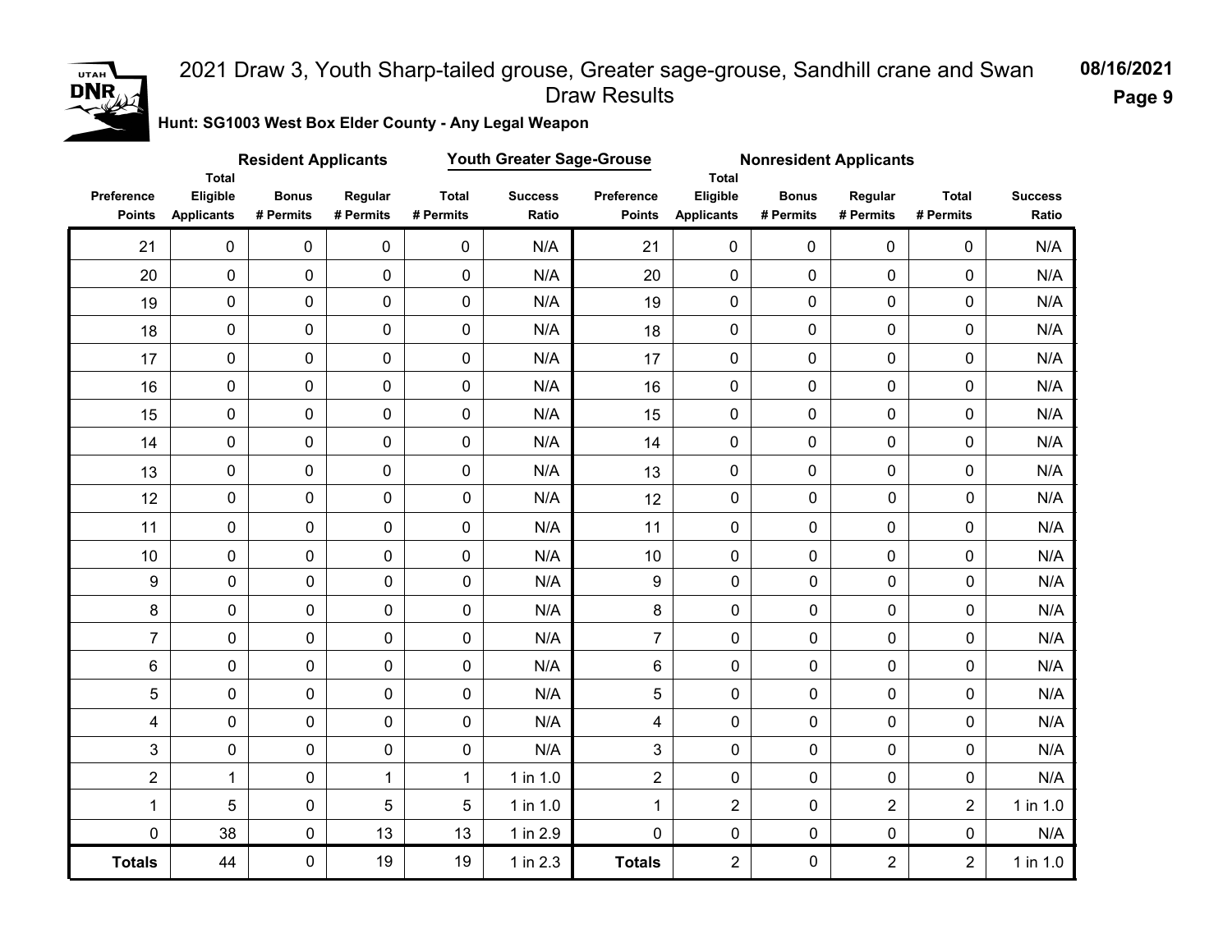

**Hunt: SG1003 West Box Elder County - Any Legal Weapon** 

|                             |                                               | <b>Resident Applicants</b> |                      |                           | Youth Greater Sage-Grouse |                             | <b>Nonresident Applicants</b><br><b>Total</b><br>Eligible<br><b>Bonus</b><br><b>Total</b><br>Regular<br><b>Applicants</b><br># Permits<br># Permits<br># Permits |             |                |                |                         |
|-----------------------------|-----------------------------------------------|----------------------------|----------------------|---------------------------|---------------------------|-----------------------------|------------------------------------------------------------------------------------------------------------------------------------------------------------------|-------------|----------------|----------------|-------------------------|
| Preference<br><b>Points</b> | <b>Total</b><br>Eligible<br><b>Applicants</b> | <b>Bonus</b><br># Permits  | Regular<br># Permits | <b>Total</b><br># Permits | <b>Success</b><br>Ratio   | Preference<br><b>Points</b> |                                                                                                                                                                  |             |                |                | <b>Success</b><br>Ratio |
| 21                          | $\mathbf 0$                                   | $\mathbf 0$                | $\mathbf 0$          | $\mathbf 0$               | N/A                       | 21                          | $\mathbf 0$                                                                                                                                                      | $\mathbf 0$ | $\mathbf 0$    | 0              | N/A                     |
| 20                          | $\mathbf 0$                                   | 0                          | 0                    | $\mathbf 0$               | N/A                       | 20                          | $\mathbf 0$                                                                                                                                                      | $\mathbf 0$ | 0              | 0              | N/A                     |
| 19                          | $\mathsf{O}\xspace$                           | $\mathbf 0$                | 0                    | $\mathbf 0$               | N/A                       | 19                          | $\mathbf 0$                                                                                                                                                      | $\mathbf 0$ | 0              | 0              | N/A                     |
| 18                          | $\mathbf 0$                                   | 0                          | 0                    | $\mathbf 0$               | N/A                       | 18                          | 0                                                                                                                                                                | 0           | 0              | 0              | N/A                     |
| 17                          | $\mathsf{O}\xspace$                           | 0                          | 0                    | $\mathbf 0$               | N/A                       | 17                          | 0                                                                                                                                                                | $\pmb{0}$   | 0              | 0              | N/A                     |
| 16                          | $\mathsf{O}\xspace$                           | 0                          | 0                    | $\pmb{0}$                 | N/A                       | 16                          | 0                                                                                                                                                                | $\mathbf 0$ | 0              | 0              | N/A                     |
| 15                          | $\mathsf{O}\xspace$                           | 0                          | 0                    | $\mathsf{O}\xspace$       | N/A                       | 15                          | 0                                                                                                                                                                | 0           | 0              | 0              | N/A                     |
| 14                          | $\mathbf 0$                                   | 0                          | 0                    | $\mathbf 0$               | N/A                       | 14                          | $\mathbf 0$                                                                                                                                                      | $\mathbf 0$ | 0              | 0              | N/A                     |
| 13                          | $\mathbf 0$                                   | 0                          | 0                    | $\mathbf 0$               | N/A                       | 13                          | 0                                                                                                                                                                | $\mathbf 0$ | 0              | 0              | N/A                     |
| 12                          | $\pmb{0}$                                     | 0                          | $\pmb{0}$            | 0                         | N/A                       | 12                          | $\mathbf 0$                                                                                                                                                      | $\mathbf 0$ | $\mathbf 0$    | $\mathbf 0$    | N/A                     |
| 11                          | $\pmb{0}$                                     | 0                          | 0                    | $\overline{0}$            | N/A                       | 11                          | $\mathbf 0$                                                                                                                                                      | $\mathbf 0$ | 0              | 0              | N/A                     |
| 10                          | $\pmb{0}$                                     | 0                          | 0                    | 0                         | N/A                       | 10                          | 0                                                                                                                                                                | $\pmb{0}$   | 0              | 0              | N/A                     |
| $\boldsymbol{9}$            | 0                                             | $\pmb{0}$                  | $\pmb{0}$            | $\mathbf 0$               | N/A                       | 9                           | $\mathbf 0$                                                                                                                                                      | $\mathbf 0$ | $\mathbf 0$    | $\mathbf 0$    | N/A                     |
| $\bf 8$                     | 0                                             | $\pmb{0}$                  | $\mathsf{O}$         | 0                         | N/A                       | 8                           | $\mathsf{O}\xspace$                                                                                                                                              | $\pmb{0}$   | 0              | 0              | N/A                     |
| $\overline{7}$              | 0                                             | 0                          | $\mathsf{O}$         | 0                         | N/A                       | $\overline{7}$              | $\mathsf{O}\xspace$                                                                                                                                              | 0           | 0              | 0              | N/A                     |
| $\,6$                       | 0                                             | 0                          | 0                    | 0                         | N/A                       | 6                           | $\mathsf{O}\xspace$                                                                                                                                              | $\pmb{0}$   | 0              | 0              | N/A                     |
| 5                           | 0                                             | 0                          | 0                    | 0                         | N/A                       | 5                           | $\pmb{0}$                                                                                                                                                        | $\mathbf 0$ | 0              | $\mathbf 0$    | N/A                     |
| 4                           | $\mathsf{O}\xspace$                           | $\pmb{0}$                  | $\mathbf 0$          | 0                         | N/A                       | $\overline{\mathbf{4}}$     | $\mathbf 0$                                                                                                                                                      | 0           | 0              | $\mathbf 0$    | N/A                     |
| 3                           | 0                                             | 0                          | 0                    | 0                         | N/A                       | 3                           | $\mathsf{O}\xspace$                                                                                                                                              | 0           | 0              | 0              | N/A                     |
| $\overline{2}$              | $\mathbf{1}$                                  | $\pmb{0}$                  | $\mathbf{1}$         | $\mathbf{1}$              | $1$ in $1.0$              | $\overline{2}$              | $\mathbf 0$                                                                                                                                                      | 0           | 0              | $\pmb{0}$      | N/A                     |
| 1                           | 5                                             | 0                          | 5                    | 5                         | 1 in 1.0                  | $\mathbf{1}$                | $\overline{2}$                                                                                                                                                   | $\mathbf 0$ | $\overline{2}$ | $\overline{2}$ | 1 in 1.0                |
| $\mathbf 0$                 | 38                                            | $\mathbf 0$                | 13                   | 13                        | 1 in 2.9                  | $\mathbf 0$                 | $\mathbf 0$                                                                                                                                                      | $\pmb{0}$   | 0              | $\pmb{0}$      | N/A                     |
| <b>Totals</b>               | 44                                            | 0                          | 19                   | 19                        | 1 in 2.3                  | <b>Totals</b>               | $\overline{2}$                                                                                                                                                   | 0           | $\overline{2}$ | $\overline{2}$ | $1$ in $1.0$            |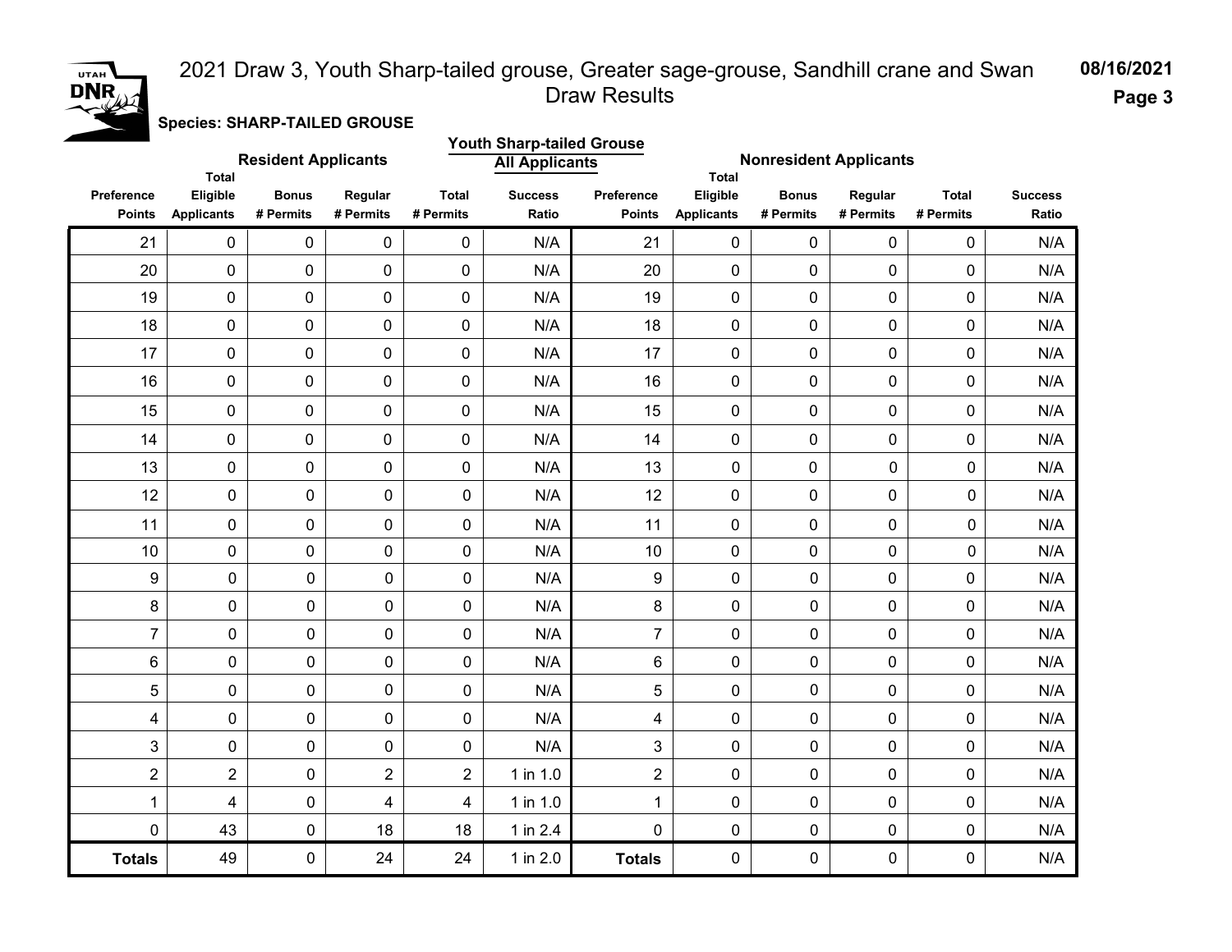

**Species: SHARP-TAILED GROUSE**

|                                    | Total                         | <b>Resident Applicants</b> |                      |                           | <b>Youth Sharp-tailed Grouse</b><br><b>All Applicants</b><br><b>Total</b> |                                    | <b>Nonresident Applicants</b> |                           |                      |                           |                         |
|------------------------------------|-------------------------------|----------------------------|----------------------|---------------------------|---------------------------------------------------------------------------|------------------------------------|-------------------------------|---------------------------|----------------------|---------------------------|-------------------------|
| <b>Preference</b><br><b>Points</b> | Eligible<br><b>Applicants</b> | <b>Bonus</b><br># Permits  | Regular<br># Permits | <b>Total</b><br># Permits | <b>Success</b><br>Ratio                                                   | <b>Preference</b><br><b>Points</b> | Eligible<br><b>Applicants</b> | <b>Bonus</b><br># Permits | Regular<br># Permits | <b>Total</b><br># Permits | <b>Success</b><br>Ratio |
| 21                                 | 0                             | $\pmb{0}$                  | $\mathbf 0$          | 0                         | N/A                                                                       | 21                                 | 0                             | 0                         | $\mathbf 0$          | 0                         | N/A                     |
| 20                                 | 0                             | $\mathbf 0$                | $\mathbf 0$          | $\mathbf 0$               | N/A                                                                       | 20                                 | 0                             | 0                         | $\mathbf 0$          | 0                         | N/A                     |
| 19                                 | 0                             | 0                          | $\mathsf{O}\xspace$  | $\pmb{0}$                 | N/A                                                                       | 19                                 | $\pmb{0}$                     | 0                         | $\mathbf 0$          | 0                         | N/A                     |
| 18                                 | 0                             | $\pmb{0}$                  | $\mathsf{O}\xspace$  | $\pmb{0}$                 | N/A                                                                       | 18                                 | $\pmb{0}$                     | 0                         | $\pmb{0}$            | 0                         | N/A                     |
| 17                                 | 0                             | $\mathbf 0$                | $\mathbf 0$          | $\mathbf 0$               | N/A                                                                       | 17                                 | $\mathbf 0$                   | 0                         | $\mathbf 0$          | 0                         | N/A                     |
| 16                                 | 0                             | 0                          | $\mathbf 0$          | $\mathbf 0$               | N/A                                                                       | 16                                 | 0                             | 0                         | $\mathbf 0$          | 0                         | N/A                     |
| 15                                 | $\pmb{0}$                     | 0                          | $\pmb{0}$            | 0                         | N/A                                                                       | 15                                 | 0                             | 0                         | $\mathbf{0}$         | 0                         | N/A                     |
| 14                                 | 0                             | 0                          | $\mathbf 0$          | 0                         | N/A                                                                       | 14                                 | 0                             | 0                         | $\mathbf 0$          | 0                         | N/A                     |
| 13                                 | $\pmb{0}$                     | $\mathsf{O}\xspace$        | 0                    | 0                         | N/A                                                                       | 13                                 | 0                             | 0                         | $\pmb{0}$            | 0                         | N/A                     |
| 12                                 | $\mathbf 0$                   | 0                          | 0                    | $\mathbf 0$               | N/A                                                                       | 12                                 | $\mathbf 0$                   | 0                         | $\mathbf 0$          | 0                         | N/A                     |
| 11                                 | 0                             | 0                          | 0                    | $\mathbf 0$               | N/A                                                                       | 11                                 | 0                             | 0                         | 0                    | 0                         | N/A                     |
| 10                                 | $\pmb{0}$                     | $\pmb{0}$                  | $\pmb{0}$            | $\pmb{0}$                 | N/A                                                                       | 10                                 | $\mathbf 0$                   | 0                         | $\mathbf 0$          | 0                         | N/A                     |
| 9                                  | $\mathsf{O}\xspace$           | 0                          | $\mathbf 0$          | $\mathbf 0$               | N/A                                                                       | 9                                  | 0                             | $\mathbf 0$               | $\overline{0}$       | 0                         | N/A                     |
| 8                                  | $\mathsf{O}\xspace$           | 0                          | 0                    | $\pmb{0}$                 | N/A                                                                       | 8                                  | 0                             | 0                         | 0                    | 0                         | N/A                     |
| $\overline{7}$                     | $\pmb{0}$                     | 0                          | 0                    | $\mathbf 0$               | N/A                                                                       | $\overline{7}$                     | 0                             | $\mathbf 0$               | 0                    | 0                         | N/A                     |
| 6                                  | $\pmb{0}$                     | 0                          | 0                    | $\pmb{0}$                 | N/A                                                                       | 6                                  | 0                             | $\pmb{0}$                 | 0                    | 0                         | N/A                     |
| $\sqrt{5}$                         | $\mathsf{O}\xspace$           | 0                          | 0                    | $\mathbf 0$               | N/A                                                                       | 5                                  | 0                             | $\mathbf 0$               | $\mathbf 0$          | $\mathbf 0$               | N/A                     |
| 4                                  | $\mathbf 0$                   | 0                          | 0                    | $\mathbf 0$               | N/A                                                                       | 4                                  | 0                             | $\mathbf 0$               | 0                    | 0                         | N/A                     |
| $\mathfrak{S}$                     | $\mathbf 0$                   | 0                          | 0                    | $\mathbf 0$               | N/A                                                                       | 3                                  | 0                             | 0                         | 0                    | 0                         | N/A                     |
| $\overline{c}$                     | $\overline{2}$                | 0                          | $\overline{2}$       | $\overline{2}$            | 1 in 1.0                                                                  | $\overline{2}$                     | 0                             | $\mathbf 0$               | 0                    | 0                         | N/A                     |
| $\mathbf{1}$                       | 4                             | 0                          | 4                    | 4                         | 1 in 1.0                                                                  | $\mathbf{1}$                       | 0                             | $\mathbf 0$               | 0                    | 0                         | N/A                     |
| $\pmb{0}$                          | 43                            | 0                          | 18                   | 18                        | 1 in 2.4                                                                  | $\pmb{0}$                          | 0                             | $\pmb{0}$                 | $\mathbf 0$          | 0                         | N/A                     |
| <b>Totals</b>                      | 49                            | 0                          | 24                   | 24                        | 1 in 2.0                                                                  | <b>Totals</b>                      | 0                             | $\mathbf 0$               | $\mathbf 0$          | 0                         | N/A                     |

**08/16/2021**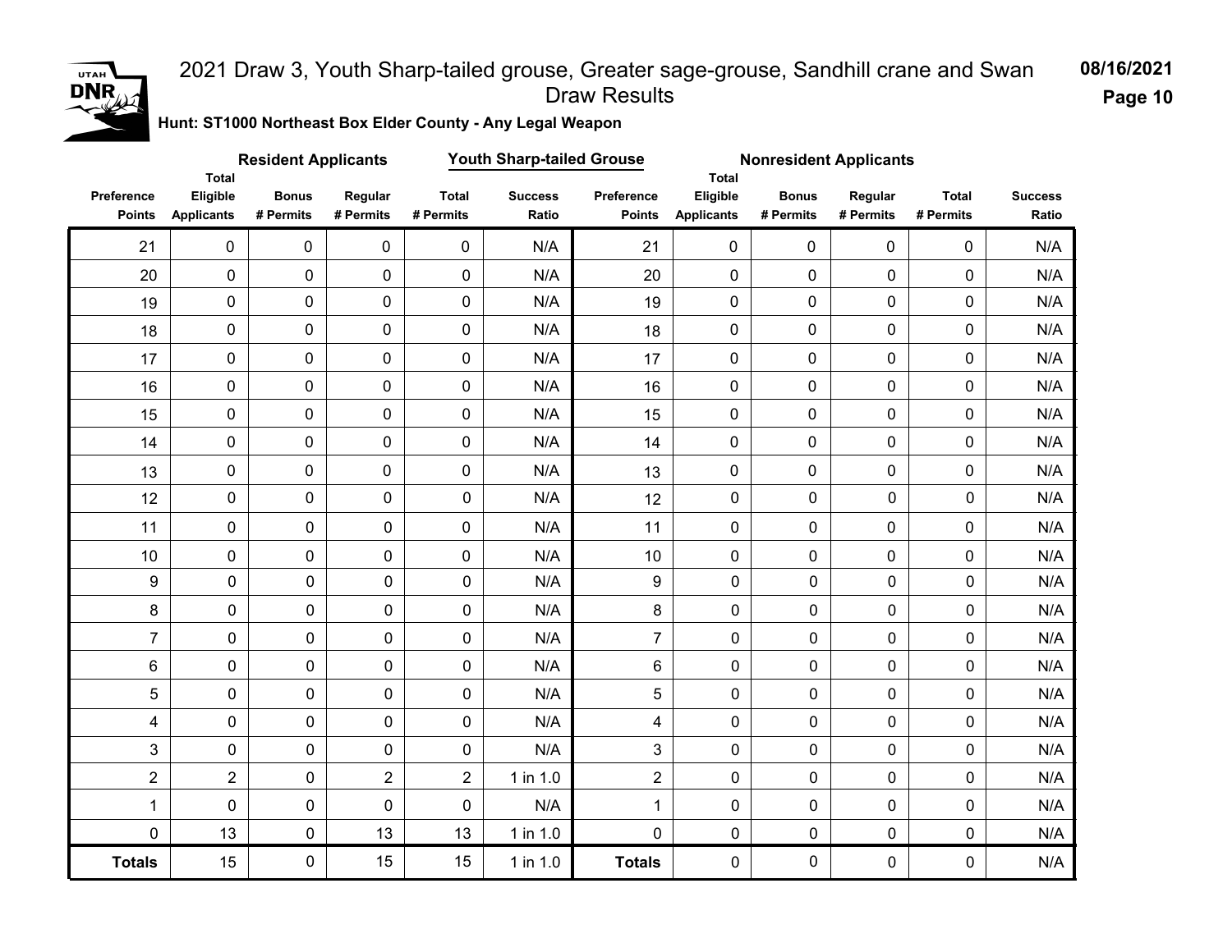

**Page 10**

**Hunt: ST1000 Northeast Box Elder County - Any Legal Weapon** 

|                             |                                               | <b>Resident Applicants</b> |                      | <b>Youth Sharp-tailed Grouse</b> |                         |                             | <b>Nonresident Applicants</b>                 |                           |                      |                           |                         |
|-----------------------------|-----------------------------------------------|----------------------------|----------------------|----------------------------------|-------------------------|-----------------------------|-----------------------------------------------|---------------------------|----------------------|---------------------------|-------------------------|
| Preference<br><b>Points</b> | <b>Total</b><br>Eligible<br><b>Applicants</b> | <b>Bonus</b><br># Permits  | Regular<br># Permits | <b>Total</b><br># Permits        | <b>Success</b><br>Ratio | Preference<br><b>Points</b> | <b>Total</b><br>Eligible<br><b>Applicants</b> | <b>Bonus</b><br># Permits | Regular<br># Permits | <b>Total</b><br># Permits | <b>Success</b><br>Ratio |
| 21                          | $\mathsf{O}\xspace$                           | $\mathsf{O}\xspace$        | $\mathsf 0$          | $\pmb{0}$                        | N/A                     | 21                          | $\pmb{0}$                                     | $\mathbf 0$               | $\mathbf 0$          | 0                         | N/A                     |
| 20                          | $\mathbf 0$                                   | 0                          | 0                    | $\mathsf{O}\xspace$              | N/A                     | 20                          | $\pmb{0}$                                     | $\pmb{0}$                 | 0                    | 0                         | N/A                     |
| 19                          | $\mathbf 0$                                   | 0                          | 0                    | $\mathbf 0$                      | N/A                     | 19                          | $\pmb{0}$                                     | $\mathbf 0$               | 0                    | 0                         | N/A                     |
| 18                          | $\mathbf 0$                                   | 0                          | 0                    | $\mathbf 0$                      | N/A                     | 18                          | 0                                             | 0                         | 0                    | 0                         | N/A                     |
| 17                          | $\pmb{0}$                                     | 0                          | 0                    | $\mathbf 0$                      | N/A                     | 17                          | 0                                             | $\mathbf 0$               | 0                    | 0                         | N/A                     |
| 16                          | $\mathsf{O}\xspace$                           | $\mathbf 0$                | 0                    | $\mathbf 0$                      | N/A                     | 16                          | $\mathbf 0$                                   | $\mathbf 0$               | 0                    | 0                         | N/A                     |
| 15                          | $\mathbf 0$                                   | $\mathbf 0$                | 0                    | $\mathbf 0$                      | N/A                     | 15                          | 0                                             | $\mathbf 0$               | 0                    | 0                         | N/A                     |
| 14                          | $\mathsf{O}\xspace$                           | $\pmb{0}$                  | 0                    | $\mathbf 0$                      | N/A                     | 14                          | $\mathbf 0$                                   | $\mathbf 0$               | 0                    | 0                         | N/A                     |
| 13                          | $\mathbf 0$                                   | $\pmb{0}$                  | 0                    | $\mathbf 0$                      | N/A                     | 13                          | 0                                             | $\mathbf 0$               | 0                    | 0                         | N/A                     |
| 12                          | $\pmb{0}$                                     | 0                          | $\pmb{0}$            | 0                                | N/A                     | 12                          | $\mathbf 0$                                   | $\mathbf 0$               | $\mathbf 0$          | $\mathbf 0$               | N/A                     |
| 11                          | $\pmb{0}$                                     | 0                          | 0                    | $\mathbf 0$                      | N/A                     | 11                          | $\mathbf 0$                                   | $\mathbf 0$               | 0                    | 0                         | N/A                     |
| 10                          | $\pmb{0}$                                     | 0                          | 0                    | 0                                | N/A                     | 10                          | $\mathbf 0$                                   | $\mathbf 0$               | 0                    | 0                         | N/A                     |
| $\boldsymbol{9}$            | $\pmb{0}$                                     | 0                          | 0                    | 0                                | N/A                     | 9                           | $\mathbf 0$                                   | 0                         | 0                    | 0                         | N/A                     |
| 8                           | 0                                             | $\pmb{0}$                  | 0                    | 0                                | N/A                     | 8                           | $\mathsf{O}\xspace$                           | $\mathbf 0$               | 0                    | 0                         | N/A                     |
| $\overline{7}$              | $\pmb{0}$                                     | 0                          | $\mathbf 0$          | 0                                | N/A                     | $\overline{7}$              | $\mathsf{O}\xspace$                           | $\pmb{0}$                 | 0                    | 0                         | N/A                     |
| 6                           | 0                                             | 0                          | 0                    | 0                                | N/A                     | 6                           | $\mathbf 0$                                   | 0                         | 0                    | 0                         | N/A                     |
| 5                           | 0                                             | 0                          | 0                    | 0                                | N/A                     | 5                           | $\pmb{0}$                                     | $\mathbf 0$               | 0                    | $\pmb{0}$                 | N/A                     |
| 4                           | 0                                             | $\mathbf 0$                | 0                    | 0                                | N/A                     | $\overline{\mathbf{4}}$     | $\mathbf 0$                                   | $\mathbf 0$               | 0                    | $\mathbf 0$               | N/A                     |
| 3                           | $\mathsf{O}\xspace$                           | $\mathsf{O}$               | $\mathsf{O}$         | 0                                | N/A                     | 3                           | $\mathsf{O}\xspace$                           | 0                         | 0                    | $\mathbf 0$               | N/A                     |
| $\boldsymbol{2}$            | $\overline{2}$                                | $\pmb{0}$                  | $\overline{2}$       | $\overline{2}$                   | 1 in 1.0                | $\overline{2}$              | $\mathsf{O}\xspace$                           | 0                         | 0                    | 0                         | N/A                     |
| 1                           | 0                                             | 0                          | 0                    | 0                                | N/A                     | $\mathbf{1}$                | $\mathbf 0$                                   | 0                         | 0                    | 0                         | N/A                     |
| $\pmb{0}$                   | 13                                            | 0                          | 13                   | 13                               | 1 in 1.0                | 0                           | $\mathsf{O}\xspace$                           | $\pmb{0}$                 | 0                    | 0                         | N/A                     |
| <b>Totals</b>               | 15                                            | 0                          | 15                   | 15                               | 1 in 1.0                | <b>Totals</b>               | $\mathsf{O}\xspace$                           | $\pmb{0}$                 | 0                    | 0                         | N/A                     |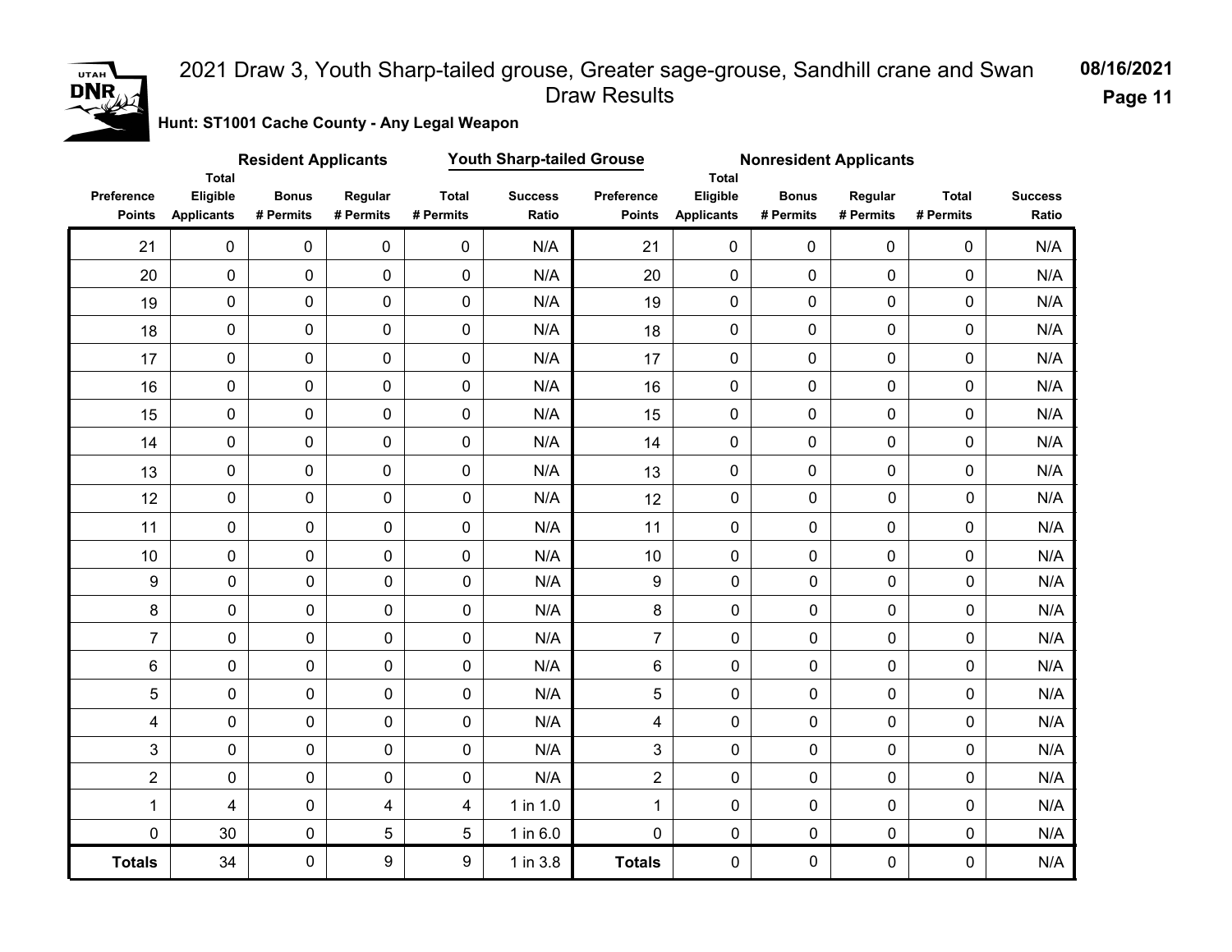

**Page 11**

**Hunt: ST1001 Cache County - Any Legal Weapon** 

|                             |                                        | <b>Resident Applicants</b> |                      | <b>Youth Sharp-tailed Grouse</b> |                         |                             | <b>Nonresident Applicants</b><br>Total |                           |                      |                           |                         |
|-----------------------------|----------------------------------------|----------------------------|----------------------|----------------------------------|-------------------------|-----------------------------|----------------------------------------|---------------------------|----------------------|---------------------------|-------------------------|
| Preference<br><b>Points</b> | Total<br>Eligible<br><b>Applicants</b> | <b>Bonus</b><br># Permits  | Regular<br># Permits | <b>Total</b><br># Permits        | <b>Success</b><br>Ratio | Preference<br><b>Points</b> | Eligible<br><b>Applicants</b>          | <b>Bonus</b><br># Permits | Regular<br># Permits | <b>Total</b><br># Permits | <b>Success</b><br>Ratio |
| 21                          | $\mathbf 0$                            | $\pmb{0}$                  | $\mathbf 0$          | $\mathbf 0$                      | N/A                     | 21                          | $\mathbf 0$                            | $\mathbf 0$               | $\mathbf 0$          | 0                         | N/A                     |
| 20                          | $\mathbf 0$                            | $\pmb{0}$                  | $\mathbf 0$          | $\mathbf 0$                      | N/A                     | 20                          | $\mathbf 0$                            | $\mathbf 0$               | $\overline{0}$       | 0                         | N/A                     |
| 19                          | $\pmb{0}$                              | $\pmb{0}$                  | $\mathbf 0$          | $\mathbf 0$                      | N/A                     | 19                          | $\mathbf 0$                            | $\mathbf 0$               | $\mathbf 0$          | 0                         | N/A                     |
| 18                          | $\pmb{0}$                              | 0                          | 0                    | $\pmb{0}$                        | N/A                     | 18                          | $\pmb{0}$                              | 0                         | $\pmb{0}$            | 0                         | N/A                     |
| 17                          | $\pmb{0}$                              | 0                          | $\mathbf 0$          | $\pmb{0}$                        | N/A                     | 17                          | $\pmb{0}$                              | $\pmb{0}$                 | $\pmb{0}$            | 0                         | N/A                     |
| 16                          | $\pmb{0}$                              | 0                          | $\pmb{0}$            | $\pmb{0}$                        | N/A                     | 16                          | $\pmb{0}$                              | $\mathbf 0$               | 0                    | $\pmb{0}$                 | N/A                     |
| 15                          | $\pmb{0}$                              | $\pmb{0}$                  | $\mathbf 0$          | $\pmb{0}$                        | N/A                     | 15                          | $\pmb{0}$                              | $\mathbf 0$               | $\pmb{0}$            | 0                         | N/A                     |
| 14                          | $\pmb{0}$                              | $\pmb{0}$                  | $\pmb{0}$            | $\pmb{0}$                        | N/A                     | 14                          | 0                                      | $\mathbf 0$               | $\mathbf 0$          | $\pmb{0}$                 | N/A                     |
| 13                          | $\pmb{0}$                              | 0                          | $\pmb{0}$            | $\pmb{0}$                        | N/A                     | 13                          | $\pmb{0}$                              | $\mathbf 0$               | $\mathbf 0$          | 0                         | N/A                     |
| 12                          | $\pmb{0}$                              | $\mathbf 0$                | $\pmb{0}$            | 0                                | N/A                     | 12                          | $\pmb{0}$                              | 0                         | $\mathbf 0$          | 0                         | N/A                     |
| 11                          | $\pmb{0}$                              | $\mathbf 0$                | $\mathbf 0$          | 0                                | N/A                     | 11                          | $\mathbf 0$                            | $\overline{0}$            | 0                    | $\mathbf 0$               | N/A                     |
| 10                          | 0                                      | 0                          | $\mathbf 0$          | 0                                | N/A                     | 10                          | $\pmb{0}$                              | 0                         | 0                    | 0                         | N/A                     |
| $\boldsymbol{9}$            | $\pmb{0}$                              | $\pmb{0}$                  | $\pmb{0}$            | 0                                | N/A                     | 9                           | $\pmb{0}$                              | $\pmb{0}$                 | $\pmb{0}$            | $\pmb{0}$                 | N/A                     |
| 8                           | 0                                      | 0                          | 0                    | 0                                | N/A                     | 8                           | 0                                      | $\pmb{0}$                 | $\pmb{0}$            | 0                         | N/A                     |
| $\overline{7}$              | 0                                      | 0                          | 0                    | 0                                | N/A                     | $\overline{7}$              | $\mathsf{O}\xspace$                    | $\pmb{0}$                 | $\mathbf 0$          | $\pmb{0}$                 | N/A                     |
| 6                           | 0                                      | 0                          | 0                    | 0                                | N/A                     | 6                           | 0                                      | $\pmb{0}$                 | $\mathbf 0$          | 0                         | N/A                     |
| 5                           | 0                                      | 0                          | 0                    | 0                                | N/A                     | 5                           | $\pmb{0}$                              | $\mathbf 0$               | $\mathbf 0$          | 0                         | N/A                     |
| 4                           | 0                                      | $\pmb{0}$                  | $\pmb{0}$            | 0                                | N/A                     | 4                           | $\pmb{0}$                              | $\mathbf 0$               | $\mathbf 0$          | $\pmb{0}$                 | N/A                     |
| 3                           | 0                                      | $\mathbf 0$                | 0                    | 0                                | N/A                     | 3                           | 0                                      | $\mathbf 0$               | $\mathbf 0$          | 0                         | N/A                     |
| $\overline{2}$              | 0                                      | $\pmb{0}$                  | 0                    | 0                                | N/A                     | $\overline{2}$              | 0                                      | $\mathbf 0$               | $\mathbf 0$          | $\mathbf 0$               | N/A                     |
| $\mathbf{1}$                | 4                                      | 0                          | 4                    | 4                                | 1 in 1.0                | $\mathbf{1}$                | 0                                      | $\mathbf 0$               | $\mathbf 0$          | $\mathbf 0$               | N/A                     |
| $\mathbf 0$                 | 30                                     | $\mathbf 0$                | 5                    | 5                                | 1 in 6.0                | $\mathbf 0$                 | $\pmb{0}$                              | $\pmb{0}$                 | $\mathbf 0$          | $\mathbf 0$               | $\mathsf{N}/\mathsf{A}$ |
| <b>Totals</b>               | 34                                     | 0                          | 9                    | 9                                | 1 in 3.8                | <b>Totals</b>               | 0                                      | $\pmb{0}$                 | $\mathbf 0$          | 0                         | N/A                     |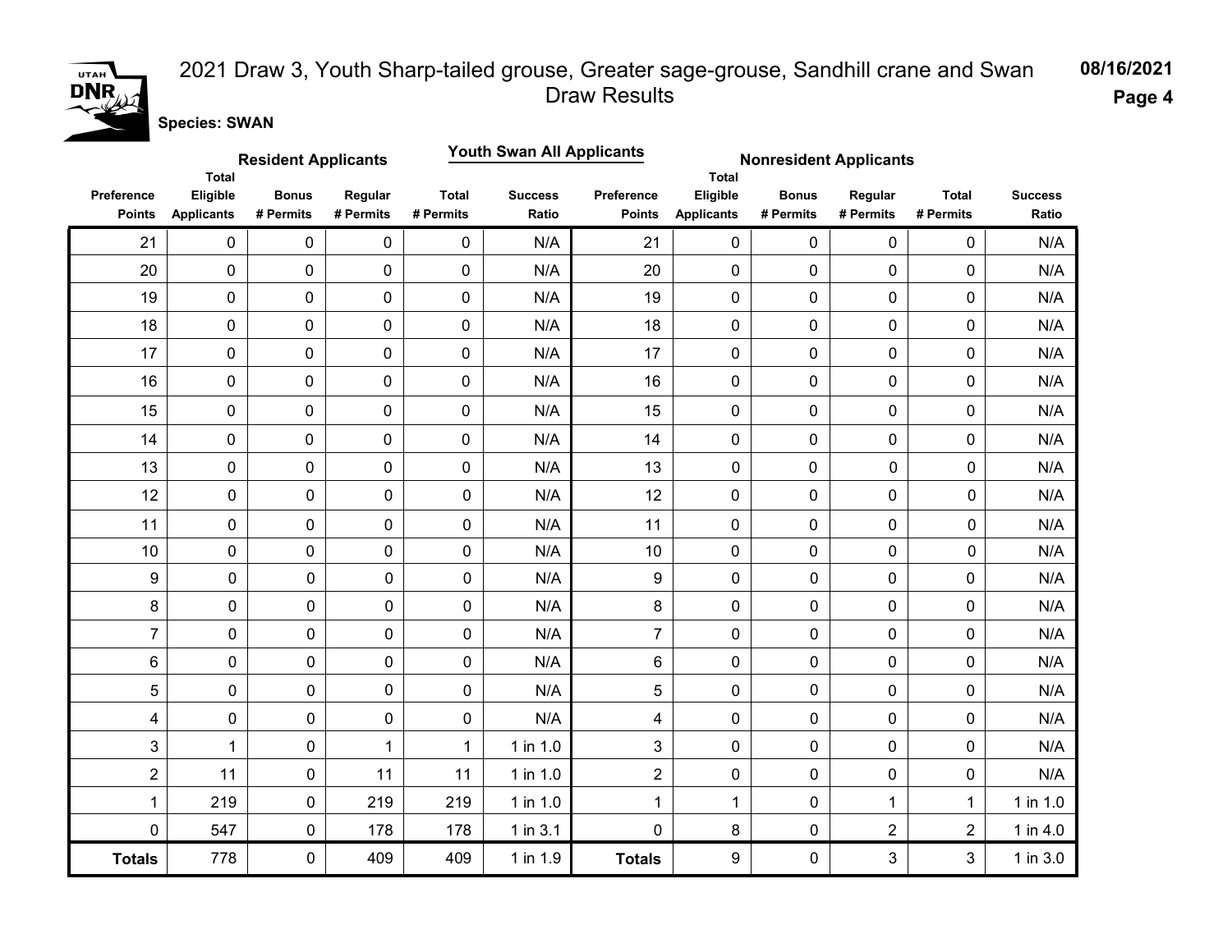

**Page 4**

**Species: SWAN**

|                             |                                               | <b>Resident Applicants</b> |                      |                           | <b>Youth Swan All Applicants</b> |                                    | <b>Nonresident Applicants</b>                 |                           |                      |                           |                         |
|-----------------------------|-----------------------------------------------|----------------------------|----------------------|---------------------------|----------------------------------|------------------------------------|-----------------------------------------------|---------------------------|----------------------|---------------------------|-------------------------|
| Preference<br><b>Points</b> | <b>Total</b><br>Eligible<br><b>Applicants</b> | <b>Bonus</b><br># Permits  | Regular<br># Permits | <b>Total</b><br># Permits | <b>Success</b><br>Ratio          | <b>Preference</b><br><b>Points</b> | <b>Total</b><br>Eligible<br><b>Applicants</b> | <b>Bonus</b><br># Permits | Regular<br># Permits | <b>Total</b><br># Permits | <b>Success</b><br>Ratio |
| 21                          | $\pmb{0}$                                     | 0                          | 0                    | 0                         | N/A                              | 21                                 | $\mathbf 0$                                   | $\mathbf 0$               | $\mathbf 0$          | 0                         | N/A                     |
| 20                          | $\mathbf 0$                                   | 0                          | $\mathbf 0$          | $\mathbf 0$               | N/A                              | 20                                 | $\mathbf 0$                                   | $\mathbf 0$               | $\mathbf 0$          | 0                         | N/A                     |
| 19                          | $\pmb{0}$                                     | 0                          | 0                    | $\pmb{0}$                 | N/A                              | 19                                 | 0                                             | 0                         | $\pmb{0}$            | 0                         | N/A                     |
| 18                          | $\mathbf 0$                                   | 0                          | 0                    | $\pmb{0}$                 | N/A                              | 18                                 | 0                                             | 0                         | $\pmb{0}$            | 0                         | N/A                     |
| 17                          | $\pmb{0}$                                     | 0                          | 0                    | $\mathbf 0$               | N/A                              | 17                                 | 0                                             | 0                         | $\pmb{0}$            | 0                         | N/A                     |
| 16                          | $\pmb{0}$                                     | 0                          | 0                    | $\mathbf 0$               | N/A                              | 16                                 | 0                                             | $\mathbf 0$               | $\mathbf 0$          | $\mathbf 0$               | N/A                     |
| 15                          | $\pmb{0}$                                     | 0                          | 0                    | $\pmb{0}$                 | N/A                              | 15                                 | 0                                             | $\pmb{0}$                 | $\pmb{0}$            | $\mathbf 0$               | N/A                     |
| 14                          | $\pmb{0}$                                     | 0                          | $\mathbf 0$          | $\mathbf 0$               | N/A                              | 14                                 | $\mathbf 0$                                   | $\mathbf 0$               | $\mathbf 0$          | 0                         | N/A                     |
| 13                          | $\pmb{0}$                                     | 0                          | $\mathbf 0$          | $\mathbf 0$               | N/A                              | 13                                 | $\mathbf 0$                                   | $\mathbf 0$               | $\mathbf 0$          | 0                         | N/A                     |
| 12                          | $\pmb{0}$                                     | 0                          | $\pmb{0}$            | $\mathbf 0$               | N/A                              | 12                                 | $\mathbf 0$                                   | $\mathbf 0$               | 0                    | 0                         | N/A                     |
| 11                          | 0                                             | 0                          | 0                    | $\mathbf 0$               | N/A                              | 11                                 | $\mathbf 0$                                   | $\mathbf 0$               | 0                    | 0                         | N/A                     |
| 10                          | 0                                             | 0                          | 0                    | $\mathbf 0$               | N/A                              | 10                                 | $\mathbf 0$                                   | 0                         | 0                    | 0                         | N/A                     |
| $\boldsymbol{9}$            | 0                                             | $\pmb{0}$                  | 0                    | $\mathbf 0$               | N/A                              | 9                                  | 0                                             | 0                         | $\mathbf 0$          | 0                         | N/A                     |
| 8                           | 0                                             | $\pmb{0}$                  | 0                    | $\pmb{0}$                 | N/A                              | 8                                  | 0                                             | 0                         | $\pmb{0}$            | 0                         | N/A                     |
| $\overline{7}$              | 0                                             | $\pmb{0}$                  | 0                    | $\mathbf 0$               | N/A                              | $\overline{7}$                     | 0                                             | 0                         | 0                    | 0                         | N/A                     |
| $6\phantom{1}$              | 0                                             | $\mathbf 0$                | 0                    | $\mathbf 0$               | N/A                              | 6                                  | 0                                             | 0                         | 0                    | 0                         | N/A                     |
| 5                           | 0                                             | $\pmb{0}$                  | 0                    | $\mathbf 0$               | N/A                              | 5                                  | 0                                             | 0                         | 0                    | 0                         | N/A                     |
| 4                           | 0                                             | $\pmb{0}$                  | 0                    | $\mathbf 0$               | N/A                              | 4                                  | 0                                             | 0                         | 0                    | 0                         | N/A                     |
| 3                           | $\mathbf{1}$                                  | $\pmb{0}$                  | 1                    | 1                         | 1 in 1.0                         | 3                                  | 0                                             | 0                         | $\mathbf 0$          | 0                         | N/A                     |
| $\overline{2}$              | 11                                            | $\mathbf 0$                | 11                   | 11                        | 1 in 1.0                         | $\overline{2}$                     | 0                                             | 0                         | $\mathbf 0$          | 0                         | N/A                     |
| $\mathbf{1}$                | 219                                           | $\pmb{0}$                  | 219                  | 219                       | 1 in 1.0                         | 1                                  | $\mathbf{1}$                                  | 0                         | 1                    | $\mathbf{1}$              | 1 in 1.0                |
| 0                           | 547                                           | $\pmb{0}$                  | 178                  | 178                       | $1$ in $3.1$                     | 0                                  | 8                                             | 0                         | $\overline{2}$       | $\overline{2}$            | 1 in 4.0                |
| <b>Totals</b>               | 778                                           | $\pmb{0}$                  | 409                  | 409                       | 1 in 1.9                         | <b>Totals</b>                      | 9                                             | 0                         | 3                    | 3                         | 1 in 3.0                |